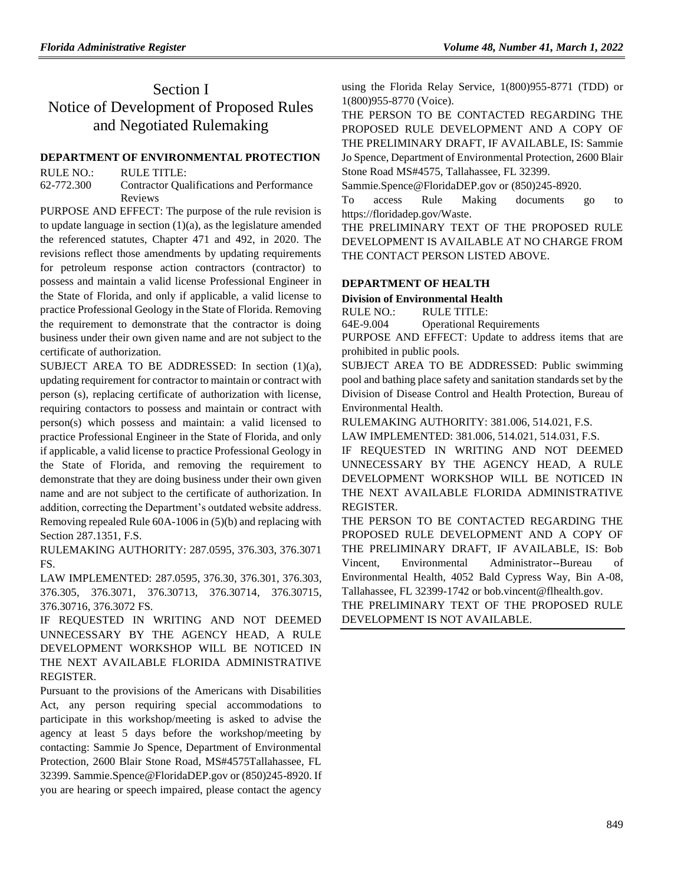## Section I Notice of Development of Proposed Rules and Negotiated Rulemaking

## **[DEPARTMENT OF ENVIRONMENTAL PROTECTION](https://www.flrules.org/gateway/department.asp?id=62)**

RULE NO.: RULE TITLE: [62-772.300](https://www.flrules.org/gateway/ruleNo.asp?id=62-772.300) Contractor Qualifications and Performance Reviews

PURPOSE AND EFFECT: The purpose of the rule revision is to update language in section  $(1)(a)$ , as the legislature amended the referenced statutes, Chapter 471 and 492, in 2020. The revisions reflect those amendments by updating requirements for petroleum response action contractors (contractor) to possess and maintain a valid license Professional Engineer in the State of Florida, and only if applicable, a valid license to practice Professional Geology in the State of Florida. Removing the requirement to demonstrate that the contractor is doing business under their own given name and are not subject to the certificate of authorization.

SUBJECT AREA TO BE ADDRESSED: In section (1)(a), updating requirement for contractor to maintain or contract with person (s), replacing certificate of authorization with license, requiring contactors to possess and maintain or contract with person(s) which possess and maintain: a valid licensed to practice Professional Engineer in the State of Florida, and only if applicable, a valid license to practice Professional Geology in the State of Florida, and removing the requirement to demonstrate that they are doing business under their own given name and are not subject to the certificate of authorization. In addition, correcting the Department's outdated website address. Removing repealed Rule 60A-1006 in (5)(b) and replacing with Section 287.1351, F.S.

RULEMAKING AUTHORITY: [287.0595,](https://www.flrules.org/gateway/statute.asp?id=287.0595) [376.303,](https://www.flrules.org/gateway/statute.asp?id=%20376.303) [376.3071](https://www.flrules.org/gateway/statute.asp?id=%20376.3071%20FS.)  [FS.](https://www.flrules.org/gateway/statute.asp?id=%20376.3071%20FS.)

LAW IMPLEMENTED: [287.0595,](https://www.flrules.org/gateway/statute.asp?id=287.0595) [376.30,](https://www.flrules.org/gateway/statute.asp?id=%20376.30) [376.301,](https://www.flrules.org/gateway/statute.asp?id=%20376.301) [376.303,](https://www.flrules.org/gateway/statute.asp?id=%20376.303) [376.305,](https://www.flrules.org/gateway/statute.asp?id=%20376.305) [376.3071,](https://www.flrules.org/gateway/statute.asp?id=%20376.3071) [376.30713,](https://www.flrules.org/gateway/statute.asp?id=%20376.30713) [376.30714,](https://www.flrules.org/gateway/statute.asp?id=%20376.30714) [376.30715,](https://www.flrules.org/gateway/statute.asp?id=%20376.30715) [376.30716,](https://www.flrules.org/gateway/statute.asp?id=%20376.30716) [376.3072 FS.](https://www.flrules.org/gateway/statute.asp?id=%20376.3072%20FS.)

IF REQUESTED IN WRITING AND NOT DEEMED UNNECESSARY BY THE AGENCY HEAD, A RULE DEVELOPMENT WORKSHOP WILL BE NOTICED IN THE NEXT AVAILABLE FLORIDA ADMINISTRATIVE REGISTER.

Pursuant to the provisions of the Americans with Disabilities Act, any person requiring special accommodations to participate in this workshop/meeting is asked to advise the agency at least 5 days before the workshop/meeting by contacting: Sammie Jo Spence, Department of Environmental Protection, 2600 Blair Stone Road, MS#4575Tallahassee, FL 32399. Sammie.Spence@FloridaDEP.gov or (850)245-8920. If you are hearing or speech impaired, please contact the agency

using the Florida Relay Service, 1(800)955-8771 (TDD) or 1(800)955-8770 (Voice).

THE PERSON TO BE CONTACTED REGARDING THE PROPOSED RULE DEVELOPMENT AND A COPY OF THE PRELIMINARY DRAFT, IF AVAILABLE, IS: Sammie Jo Spence, Department of Environmental Protection, 2600 Blair Stone Road MS#4575, Tallahassee, FL 32399.

Sammie.Spence@FloridaDEP.gov or (850)245-8920.

To access Rule Making documents go to https://floridadep.gov/Waste.

THE PRELIMINARY TEXT OF THE PROPOSED RULE DEVELOPMENT IS AVAILABLE AT NO CHARGE FROM THE CONTACT PERSON LISTED ABOVE.

#### **[DEPARTMENT OF HEALTH](https://www.flrules.org/gateway/department.asp?id=64)**

#### **[Division of Environmental Health](https://www.flrules.org/gateway/organization.asp?id=335)**

RULE NO.: RULE TITLE:

[64E-9.004](https://www.flrules.org/gateway/ruleNo.asp?id=64E-9.004) Operational Requirements

PURPOSE AND EFFECT: Update to address items that are prohibited in public pools.

SUBJECT AREA TO BE ADDRESSED: Public swimming pool and bathing place safety and sanitation standards set by the Division of Disease Control and Health Protection, Bureau of Environmental Health.

RULEMAKING AUTHORITY: [381.006,](https://www.flrules.org/gateway/statute.asp?id=381.006) [514.021,](https://www.flrules.org/gateway/statute.asp?id=%20514.021) F.S.

LAW IMPLEMENTED: [381.006,](https://www.flrules.org/gateway/statute.asp?id=381.006) [514.021,](https://www.flrules.org/gateway/statute.asp?id=%20514.021) [514.031,](https://www.flrules.org/gateway/statute.asp?id=%20514.031) F.S.

IF REQUESTED IN WRITING AND NOT DEEMED UNNECESSARY BY THE AGENCY HEAD, A RULE DEVELOPMENT WORKSHOP WILL BE NOTICED IN THE NEXT AVAILABLE FLORIDA ADMINISTRATIVE REGISTER.

THE PERSON TO BE CONTACTED REGARDING THE PROPOSED RULE DEVELOPMENT AND A COPY OF THE PRELIMINARY DRAFT, IF AVAILABLE, IS: Bob Vincent, Environmental Administrator--Bureau of Environmental Health, 4052 Bald Cypress Way, Bin A-08, Tallahassee, FL 32399-1742 or bob.vincent@flhealth.gov.

THE PRELIMINARY TEXT OF THE PROPOSED RULE DEVELOPMENT IS NOT AVAILABLE.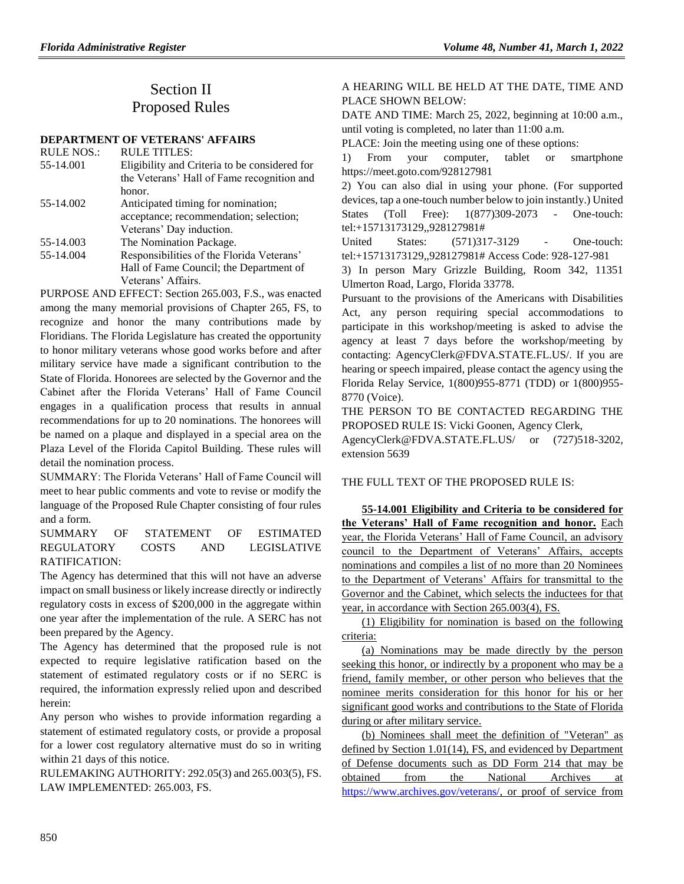# Section II Proposed Rules

**[DEPARTMENT OF VETERANS' AFFAIRS](https://www.flrules.org/gateway/department.asp?id=55)**

| <b>RULE NOS.:</b> | <b>RULE TITLES:</b>                           |
|-------------------|-----------------------------------------------|
| 55-14.001         | Eligibility and Criteria to be considered for |
|                   | the Veterans' Hall of Fame recognition and    |
|                   | honor.                                        |
| 55-14.002         | Anticipated timing for nomination;            |
|                   | acceptance; recommendation; selection;        |
|                   | Veterans' Day induction.                      |
| 55-14.003         | The Nomination Package.                       |
| 55-14.004         | Responsibilities of the Florida Veterans'     |
|                   | Hall of Fame Council; the Department of       |
|                   | Veterans' Affairs.                            |

PURPOSE AND EFFECT: Section 265.003, F.S., was enacted among the many memorial provisions of Chapter 265, FS, to recognize and honor the many contributions made by Floridians. The Florida Legislature has created the opportunity to honor military veterans whose good works before and after military service have made a significant contribution to the State of Florida. Honorees are selected by the Governor and the Cabinet after the Florida Veterans' Hall of Fame Council engages in a qualification process that results in annual recommendations for up to 20 nominations. The honorees will be named on a plaque and displayed in a special area on the Plaza Level of the Florida Capitol Building. These rules will detail the nomination process.

SUMMARY: The Florida Veterans' Hall of Fame Council will meet to hear public comments and vote to revise or modify the language of the Proposed Rule Chapter consisting of four rules and a form.

SUMMARY OF STATEMENT OF ESTIMATED REGULATORY COSTS AND LEGISLATIVE RATIFICATION:

The Agency has determined that this will not have an adverse impact on small business or likely increase directly or indirectly regulatory costs in excess of \$200,000 in the aggregate within one year after the implementation of the rule. A SERC has not been prepared by the Agency.

The Agency has determined that the proposed rule is not expected to require legislative ratification based on the statement of estimated regulatory costs or if no SERC is required, the information expressly relied upon and described herein:

Any person who wishes to provide information regarding a statement of estimated regulatory costs, or provide a proposal for a lower cost regulatory alternative must do so in writing within 21 days of this notice.

RULEMAKING AUTHORITY[: 292.05\(3\) and 265.003\(5\),](https://www.flrules.org/gateway/statute.asp?id=292.05(3)%20and%20265.003(5)) FS. LAW IMPLEMENTED: [265.003,](https://www.flrules.org/gateway/statute.asp?id=265.003) FS.

## A HEARING WILL BE HELD AT THE DATE, TIME AND PLACE SHOWN BELOW:

DATE AND TIME: March 25, 2022, beginning at 10:00 a.m., until voting is completed, no later than 11:00 a.m.

PLACE: Join the meeting using one of these options:

1) From your computer, tablet or smartphone https://meet.goto.com/928127981

2) You can also dial in using your phone. (For supported devices, tap a one-touch number below to join instantly.) United States (Toll Free): 1(877)309-2073 - One-touch: tel:+15713173129,,928127981#

United States: (571)317-3129 - One-touch: tel:+15713173129,,928127981# Access Code: 928-127-981

3) In person Mary Grizzle Building, Room 342, 11351 Ulmerton Road, Largo, Florida 33778.

Pursuant to the provisions of the Americans with Disabilities Act, any person requiring special accommodations to participate in this workshop/meeting is asked to advise the agency at least 7 days before the workshop/meeting by contacting: AgencyClerk@FDVA.STATE.FL.US/. If you are hearing or speech impaired, please contact the agency using the Florida Relay Service, 1(800)955-8771 (TDD) or 1(800)955- 8770 (Voice).

THE PERSON TO BE CONTACTED REGARDING THE PROPOSED RULE IS: Vicki Goonen, Agency Clerk,

AgencyClerk@FDVA.STATE.FL.US/ or (727)518-3202, extension 5639

## THE FULL TEXT OF THE PROPOSED RULE IS.

**55-14.001 Eligibility and Criteria to be considered for the Veterans' Hall of Fame recognition and honor.** Each year, the Florida Veterans' Hall of Fame Council, an advisory council to the Department of Veterans' Affairs, accepts nominations and compiles a list of no more than 20 Nominees to the Department of Veterans' Affairs for transmittal to the Governor and the Cabinet, which selects the inductees for that year, in accordance with Section 265.003(4), FS.

(1) Eligibility for nomination is based on the following criteria:

(a) Nominations may be made directly by the person seeking this honor, or indirectly by a proponent who may be a friend, family member, or other person who believes that the nominee merits consideration for this honor for his or her significant good works and contributions to the State of Florida during or after military service.

(b) Nominees shall meet the definition of "Veteran" as defined by Section 1.01(14), FS, and evidenced by Department of Defense documents such as DD Form 214 that may be obtained from the National Archives a[t](https://www.archives.gov/veterans/) [https://www.archives.gov/veterans/,](https://www.archives.gov/veterans/) or proof of service from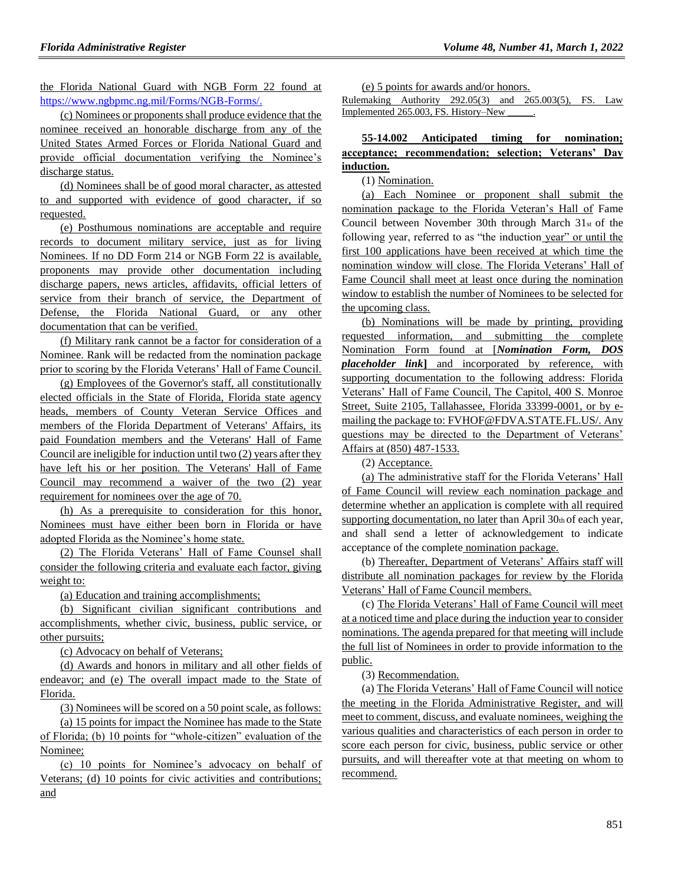the Florida National Guard with NGB Form 22 found at [https://www.ngbpmc.ng.mil/Forms/NGB-Forms/.](https://www.ngbpmc.ng.mil/Forms/NGB-Forms/)

(c) Nominees or proponents shall produce evidence that the nominee received an honorable discharge from any of the United States Armed Forces or Florida National Guard and provide official documentation verifying the Nominee's discharge status.

(d) Nominees shall be of good moral character, as attested to and supported with evidence of good character, if so requested.

(e) Posthumous nominations are acceptable and require records to document military service, just as for living Nominees. If no DD Form 214 or NGB Form 22 is available, proponents may provide other documentation including discharge papers, news articles, affidavits, official letters of service from their branch of service, the Department of Defense, the Florida National Guard, or any other documentation that can be verified.

(f) Military rank cannot be a factor for consideration of a Nominee. Rank will be redacted from the nomination package prior to scoring by the Florida Veterans' Hall of Fame Council.

(g) Employees of the Governor's staff, all constitutionally elected officials in the State of Florida, Florida state agency heads, members of County Veteran Service Offices and members of the Florida Department of Veterans' Affairs, its paid Foundation members and the Veterans' Hall of Fame Council are ineligible for induction until two (2) years after they have left his or her position. The Veterans' Hall of Fame Council may recommend a waiver of the two (2) year requirement for nominees over the age of 70.

(h) As a prerequisite to consideration for this honor, Nominees must have either been born in Florida or have adopted Florida as the Nominee's home state.

(2) The Florida Veterans' Hall of Fame Counsel shall consider the following criteria and evaluate each factor, giving weight to:

(a) Education and training accomplishments;

(b) Significant civilian significant contributions and accomplishments, whether civic, business, public service, or other pursuits;

(c) Advocacy on behalf of Veterans;

(d) Awards and honors in military and all other fields of endeavor; and (e) The overall impact made to the State of Florida.

(3) Nominees will be scored on a 50 point scale, as follows:

(a) 15 points for impact the Nominee has made to the State of Florida; (b) 10 points for "whole-citizen" evaluation of the Nominee;

(c) 10 points for Nominee's advocacy on behalf of Veterans; (d) 10 points for civic activities and contributions; and

(e) 5 points for awards and/or honors.

Rulemaking Authority 292.05(3) and 265.003(5), FS. Law Implemented 265.003, FS. History-New

## **55-14.002 Anticipated timing for nomination; acceptance; recommendation; selection; Veterans' Day induction.**

(1) Nomination.

(a) Each Nominee or proponent shall submit the nomination package to the Florida Veteran's Hall of Fame Council between November 30th through March  $31<sub>st</sub>$  of the following year, referred to as "the induction year" or until the first 100 applications have been received at which time the nomination window will close. The Florida Veterans' Hall of Fame Council shall meet at least once during the nomination window to establish the number of Nominees to be selected for the upcoming class.

(b) Nominations will be made by printing, providing requested information, and submitting the complete Nomination Form found at [*Nomination Form, DOS placeholder link***]** and incorporated by reference, with supporting documentation to the following address: Florida Veterans' Hall of Fame Council, The Capitol, 400 S. Monroe Street, Suite 2105, Tallahassee, Florida 33399-0001, or by emailing the package to: FVHOF@FDVA.STATE.FL.US/. Any questions may be directed to the Department of Veterans' Affairs at (850) 487-1533.

(2) Acceptance.

(a) The administrative staff for the Florida Veterans' Hall of Fame Council will review each nomination package and determine whether an application is complete with all required supporting documentation, no later than April 30th of each year, and shall send a letter of acknowledgement to indicate acceptance of the complete nomination package.

(b) Thereafter, Department of Veterans' Affairs staff will distribute all nomination packages for review by the Florida Veterans' Hall of Fame Council members.

(c) The Florida Veterans' Hall of Fame Council will meet at a noticed time and place during the induction year to consider nominations. The agenda prepared for that meeting will include the full list of Nominees in order to provide information to the public.

(3) Recommendation.

(a) The Florida Veterans' Hall of Fame Council will notice the meeting in the Florida Administrative Register, and will meet to comment, discuss, and evaluate nominees, weighing the various qualities and characteristics of each person in order to score each person for civic, business, public service or other pursuits, and will thereafter vote at that meeting on whom to recommend.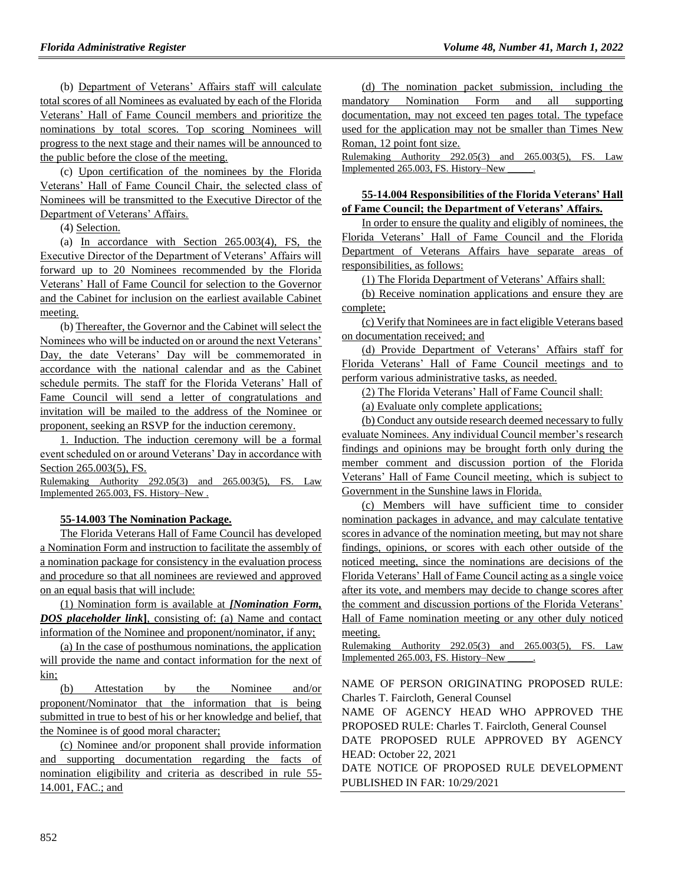(b) Department of Veterans' Affairs staff will calculate total scores of all Nominees as evaluated by each of the Florida Veterans' Hall of Fame Council members and prioritize the nominations by total scores. Top scoring Nominees will progress to the next stage and their names will be announced to the public before the close of the meeting.

(c) Upon certification of the nominees by the Florida Veterans' Hall of Fame Council Chair, the selected class of Nominees will be transmitted to the Executive Director of the Department of Veterans' Affairs.

(4) Selection.

(a) In accordance with Section 265.003(4), FS, the Executive Director of the Department of Veterans' Affairs will forward up to 20 Nominees recommended by the Florida Veterans' Hall of Fame Council for selection to the Governor and the Cabinet for inclusion on the earliest available Cabinet meeting.

(b) Thereafter, the Governor and the Cabinet will select the Nominees who will be inducted on or around the next Veterans' Day, the date Veterans' Day will be commemorated in accordance with the national calendar and as the Cabinet schedule permits. The staff for the Florida Veterans' Hall of Fame Council will send a letter of congratulations and invitation will be mailed to the address of the Nominee or proponent, seeking an RSVP for the induction ceremony.

1. Induction. The induction ceremony will be a formal event scheduled on or around Veterans' Day in accordance with Section 265.003(5), FS.

Rulemaking Authority 292.05(3) and 265.003(5), FS. Law Implemented 265.003, FS. History–New .

#### **55-14.003 The Nomination Package.**

The Florida Veterans Hall of Fame Council has developed a Nomination Form and instruction to facilitate the assembly of a nomination package for consistency in the evaluation process and procedure so that all nominees are reviewed and approved on an equal basis that will include:

(1) Nomination form is available at *[Nomination Form, DOS placeholder link***]**, consisting of: (a) Name and contact information of the Nominee and proponent/nominator, if any;

(a) In the case of posthumous nominations, the application will provide the name and contact information for the next of kin;

(b) Attestation by the Nominee and/or proponent/Nominator that the information that is being submitted in true to best of his or her knowledge and belief, that the Nominee is of good moral character;

(c) Nominee and/or proponent shall provide information and supporting documentation regarding the facts of nomination eligibility and criteria as described in rule 55- 14.001, FAC.; and

(d) The nomination packet submission, including the mandatory Nomination Form and all supporting documentation, may not exceed ten pages total. The typeface used for the application may not be smaller than Times New Roman, 12 point font size.

Rulemaking Authority 292.05(3) and 265.003(5), FS. Law Implemented 265.003, FS. History–New \_\_\_\_\_.

## **55-14.004 Responsibilities of the Florida Veterans' Hall of Fame Council; the Department of Veterans' Affairs.**

In order to ensure the quality and eligibly of nominees, the Florida Veterans' Hall of Fame Council and the Florida Department of Veterans Affairs have separate areas of responsibilities, as follows:

(1) The Florida Department of Veterans' Affairs shall:

(b) Receive nomination applications and ensure they are complete;

(c) Verify that Nominees are in fact eligible Veterans based on documentation received; and

(d) Provide Department of Veterans' Affairs staff for Florida Veterans' Hall of Fame Council meetings and to perform various administrative tasks, as needed.

(2) The Florida Veterans' Hall of Fame Council shall:

(a) Evaluate only complete applications;

(b) Conduct any outside research deemed necessary to fully evaluate Nominees. Any individual Council member's research findings and opinions may be brought forth only during the member comment and discussion portion of the Florida Veterans' Hall of Fame Council meeting, which is subject to Government in the Sunshine laws in Florida.

(c) Members will have sufficient time to consider nomination packages in advance, and may calculate tentative scores in advance of the nomination meeting, but may not share findings, opinions, or scores with each other outside of the noticed meeting, since the nominations are decisions of the Florida Veterans' Hall of Fame Council acting as a single voice after its vote, and members may decide to change scores after the comment and discussion portions of the Florida Veterans' Hall of Fame nomination meeting or any other duly noticed meeting.

Rulemaking Authority 292.05(3) and 265.003(5), FS. Law Implemented 265.003, FS. History–New \_\_\_\_\_.

NAME OF PERSON ORIGINATING PROPOSED RULE: Charles T. Faircloth, General Counsel

NAME OF AGENCY HEAD WHO APPROVED THE PROPOSED RULE: Charles T. Faircloth, General Counsel

DATE PROPOSED RULE APPROVED BY AGENCY HEAD: October 22, 2021

DATE NOTICE OF PROPOSED RULE DEVELOPMENT PUBLISHED IN FAR: 10/29/2021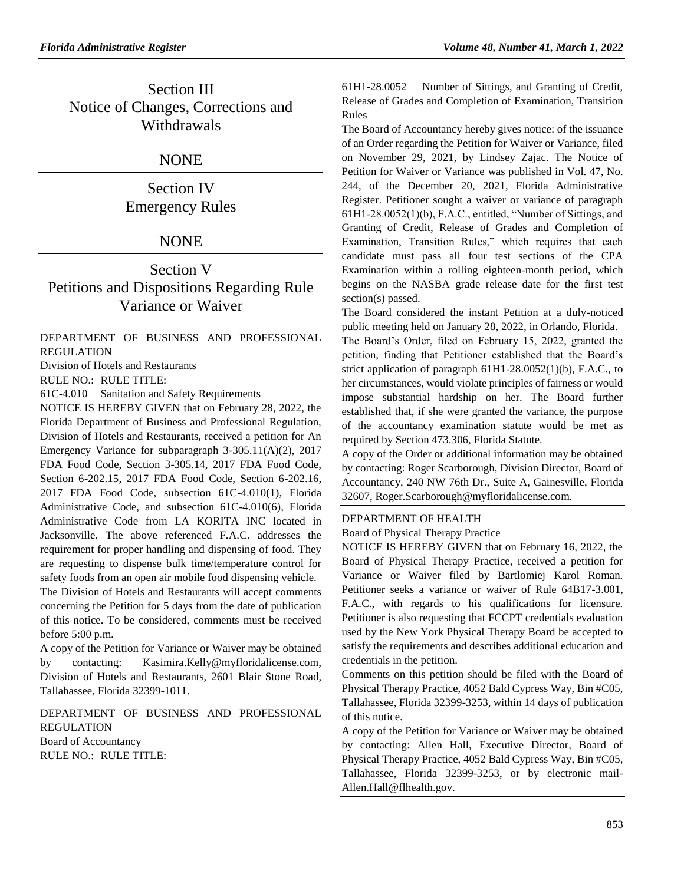## Section III Notice of Changes, Corrections and Withdrawals

## **NONE**

Section IV Emergency Rules

## **NONE**

## Section V Petitions and Dispositions Regarding Rule Variance or Waiver

[DEPARTMENT OF BUSINESS AND PROFESSIONAL](https://www.flrules.org/gateway/department.asp?id=61)  [REGULATION](https://www.flrules.org/gateway/department.asp?id=61)

[Division of Hotels and Restaurants](https://www.flrules.org/gateway/organization.asp?id=249)

RULE NO.: RULE TITLE:

[61C-4.010](https://www.flrules.org/gateway/ruleNo.asp?id=61C-4.010) Sanitation and Safety Requirements

NOTICE IS HEREBY GIVEN that on February 28, 2022, the Florida Department of Business and Professional Regulation, Division of Hotels and Restaurants, received a petition for An Emergency Variance for subparagraph 3-305.11(A)(2), 2017 FDA Food Code, Section 3-305.14, 2017 FDA Food Code, Section 6-202.15, 2017 FDA Food Code, Section 6-202.16, 2017 FDA Food Code, subsection 61C-4.010(1), Florida Administrative Code, and subsection 61C-4.010(6), Florida Administrative Code from LA KORITA INC located in Jacksonville. The above referenced F.A.C. addresses the requirement for proper handling and dispensing of food. They are requesting to dispense bulk time/temperature control for safety foods from an open air mobile food dispensing vehicle.

The Division of Hotels and Restaurants will accept comments concerning the Petition for 5 days from the date of publication of this notice. To be considered, comments must be received before 5:00 p.m.

A copy of the Petition for Variance or Waiver may be obtained by contacting: Kasimira.Kelly@myfloridalicense.com, Division of Hotels and Restaurants, 2601 Blair Stone Road, Tallahassee, Florida 32399-1011.

[DEPARTMENT OF BUSINESS AND PROFESSIONAL](https://www.flrules.org/gateway/department.asp?id=61)  [REGULATION](https://www.flrules.org/gateway/department.asp?id=61) [Board of Accountancy](https://www.flrules.org/gateway/organization.asp?id=280) RULE NO.: RULE TITLE:

[61H1-28.0052](https://www.flrules.org/gateway/ruleNo.asp?id=61H1-28.0052) Number of Sittings, and Granting of Credit, Release of Grades and Completion of Examination, Transition Rules

The Board of Accountancy hereby gives notice: of the issuance of an Order regarding the Petition for Waiver or Variance, filed on November 29, 2021, by Lindsey Zajac. The Notice of Petition for Waiver or Variance was published in Vol. 47, No. 244, of the December 20, 2021, Florida Administrative Register. Petitioner sought a waiver or variance of paragraph 61H1-28.0052(1)(b), F.A.C., entitled, "Number of Sittings, and Granting of Credit, Release of Grades and Completion of Examination, Transition Rules," which requires that each candidate must pass all four test sections of the CPA Examination within a rolling eighteen-month period, which begins on the NASBA grade release date for the first test section(s) passed.

The Board considered the instant Petition at a duly-noticed public meeting held on January 28, 2022, in Orlando, Florida.

The Board's Order, filed on February 15, 2022, granted the petition, finding that Petitioner established that the Board's strict application of paragraph 61H1-28.0052(1)(b), F.A.C., to her circumstances, would violate principles of fairness or would impose substantial hardship on her. The Board further established that, if she were granted the variance, the purpose of the accountancy examination statute would be met as required by Section 473.306, Florida Statute.

A copy of the Order or additional information may be obtained by contacting: Roger Scarborough, Division Director, Board of Accountancy, 240 NW 76th Dr., Suite A, Gainesville, Florida 32607, Roger.Scarborough@myfloridalicense.com.

#### [DEPARTMENT OF HEALTH](https://www.flrules.org/gateway/department.asp?id=64)

[Board of Physical Therapy Practice](https://www.flrules.org/gateway/organization.asp?id=308)

NOTICE IS HEREBY GIVEN that on February 16, 2022, the Board of Physical Therapy Practice, received a petition for Variance or Waiver filed by Bartlomiej Karol Roman. Petitioner seeks a variance or waiver of Rule 64B17-3.001, F.A.C., with regards to his qualifications for licensure. Petitioner is also requesting that FCCPT credentials evaluation used by the New York Physical Therapy Board be accepted to satisfy the requirements and describes additional education and credentials in the petition.

Comments on this petition should be filed with the Board of Physical Therapy Practice, 4052 Bald Cypress Way, Bin #C05, Tallahassee, Florida 32399-3253, within 14 days of publication of this notice.

A copy of the Petition for Variance or Waiver may be obtained by contacting: Allen Hall, Executive Director, Board of Physical Therapy Practice, 4052 Bald Cypress Way, Bin #C05, Tallahassee, Florida 32399-3253, or by electronic mail-Allen.Hall@flhealth.gov.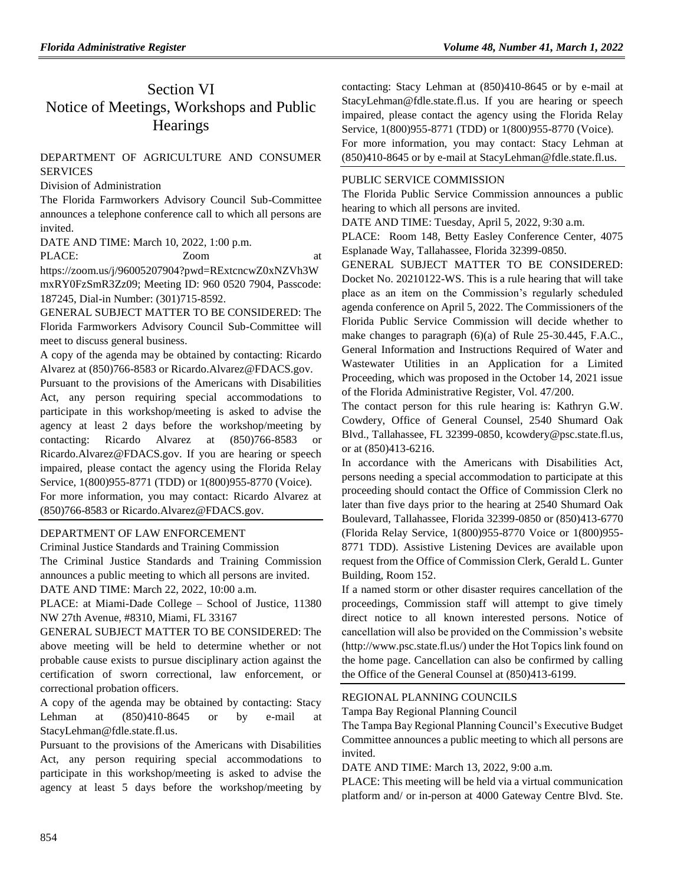# Section VI Notice of Meetings, Workshops and Public **Hearings**

## [DEPARTMENT OF AGRICULTURE AND CONSUMER](https://www.flrules.org/gateway/department.asp?id=5)  **[SERVICES](https://www.flrules.org/gateway/department.asp?id=5)**

[Division of Administration](https://www.flrules.org/gateway/organization.asp?id=161)

The Florida Farmworkers Advisory Council Sub-Committee announces a telephone conference call to which all persons are invited.

DATE AND TIME: March 10, 2022, 1:00 p.m.

PLACE:  $Zoom$  at https://zoom.us/j/96005207904?pwd=RExtcncwZ0xNZVh3W

mxRY0FzSmR3Zz09; Meeting ID: 960 0520 7904, Passcode: 187245, Dial-in Number: (301)715-8592.

GENERAL SUBJECT MATTER TO BE CONSIDERED: The Florida Farmworkers Advisory Council Sub-Committee will meet to discuss general business.

A copy of the agenda may be obtained by contacting: Ricardo Alvarez at (850)766-8583 or Ricardo.Alvarez@FDACS.gov.

Pursuant to the provisions of the Americans with Disabilities Act, any person requiring special accommodations to participate in this workshop/meeting is asked to advise the agency at least 2 days before the workshop/meeting by contacting: Ricardo Alvarez at (850)766-8583 or Ricardo.Alvarez@FDACS.gov. If you are hearing or speech impaired, please contact the agency using the Florida Relay Service, 1(800)955-8771 (TDD) or 1(800)955-8770 (Voice).

For more information, you may contact: Ricardo Alvarez at (850)766-8583 or Ricardo.Alvarez@FDACS.gov.

## [DEPARTMENT OF LAW ENFORCEMENT](https://www.flrules.org/gateway/department.asp?id=11)

[Criminal Justice Standards and Training Commission](https://www.flrules.org/gateway/organization.asp?id=20)

The Criminal Justice Standards and Training Commission announces a public meeting to which all persons are invited. DATE AND TIME: March 22, 2022, 10:00 a.m.

PLACE: at Miami-Dade College – School of Justice, 11380 NW 27th Avenue, #8310, Miami, FL 33167

GENERAL SUBJECT MATTER TO BE CONSIDERED: The above meeting will be held to determine whether or not probable cause exists to pursue disciplinary action against the certification of sworn correctional, law enforcement, or correctional probation officers.

A copy of the agenda may be obtained by contacting: Stacy Lehman at (850)410-8645 or by e-mail at StacyLehman@fdle.state.fl.us.

Pursuant to the provisions of the Americans with Disabilities Act, any person requiring special accommodations to participate in this workshop/meeting is asked to advise the agency at least 5 days before the workshop/meeting by

contacting: Stacy Lehman at (850)410-8645 or by e-mail at StacyLehman@fdle.state.fl.us. If you are hearing or speech impaired, please contact the agency using the Florida Relay Service, 1(800)955-8771 (TDD) or 1(800)955-8770 (Voice). For more information, you may contact: Stacy Lehman at (850)410-8645 or by e-mail at StacyLehman@fdle.state.fl.us.

#### [PUBLIC SERVICE COMMISSION](https://www.flrules.org/gateway/department.asp?id=25)

The Florida Public Service Commission announces a public hearing to which all persons are invited.

DATE AND TIME: Tuesday, April 5, 2022, 9:30 a.m.

PLACE: Room 148, Betty Easley Conference Center, 4075 Esplanade Way, Tallahassee, Florida 32399-0850.

GENERAL SUBJECT MATTER TO BE CONSIDERED: Docket No. 20210122-WS. This is a rule hearing that will take place as an item on the Commission's regularly scheduled agenda conference on April 5, 2022. The Commissioners of the Florida Public Service Commission will decide whether to make changes to paragraph (6)(a) of Rule 25-30.445, F.A.C., General Information and Instructions Required of Water and Wastewater Utilities in an Application for a Limited Proceeding, which was proposed in the October 14, 2021 issue of the Florida Administrative Register, Vol. 47/200.

The contact person for this rule hearing is: Kathryn G.W. Cowdery, Office of General Counsel, 2540 Shumard Oak Blvd., Tallahassee, FL 32399-0850[, kcowdery@psc.state.fl.us,](mailto:kcowdery@psc.state.fl.us) or at (850)413-6216.

In accordance with the Americans with Disabilities Act, persons needing a special accommodation to participate at this proceeding should contact the Office of Commission Clerk no later than five days prior to the hearing at 2540 Shumard Oak Boulevard, Tallahassee, Florida 32399-0850 or (850)413-6770 (Florida Relay Service, 1(800)955-8770 Voice or 1(800)955- 8771 TDD). Assistive Listening Devices are available upon request from the Office of Commission Clerk, Gerald L. Gunter Building, Room 152.

If a named storm or other disaster requires cancellation of the proceedings, Commission staff will attempt to give timely direct notice to all known interested persons. Notice of cancellation will also be provided on the Commission's website (http://www.psc.state.fl.us/) under the Hot Topics link found on the home page. Cancellation can also be confirmed by calling the Office of the General Counsel at (850)413-6199.

#### [REGIONAL PLANNING COUNCILS](https://www.flrules.org/gateway/department.asp?id=29)

[Tampa Bay Regional Planning Council](https://www.flrules.org/gateway/organization.asp?id=64)

The Tampa Bay Regional Planning Council's Executive Budget Committee announces a public meeting to which all persons are invited.

DATE AND TIME: March 13, 2022, 9:00 a.m.

PLACE: This meeting will be held via a virtual communication platform and/ or in-person at 4000 Gateway Centre Blvd. Ste.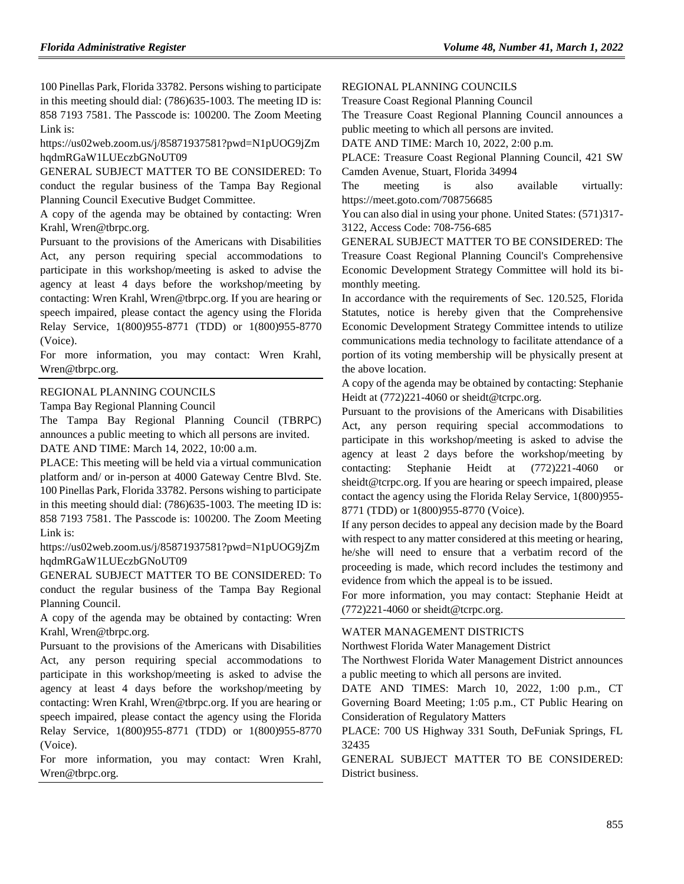100 Pinellas Park, Florida 33782. Persons wishing to participate in this meeting should dial: (786)635-1003. The meeting ID is: 858 7193 7581. The Passcode is: 100200. The Zoom Meeting Link is:

https://us02web.zoom.us/j/85871937581?pwd=N1pUOG9jZm hqdmRGaW1LUEczbGNoUT09

GENERAL SUBJECT MATTER TO BE CONSIDERED: To conduct the regular business of the Tampa Bay Regional Planning Council Executive Budget Committee.

A copy of the agenda may be obtained by contacting: Wren Krahl, Wren@tbrpc.org.

Pursuant to the provisions of the Americans with Disabilities Act, any person requiring special accommodations to participate in this workshop/meeting is asked to advise the agency at least 4 days before the workshop/meeting by contacting: Wren Krahl, Wren@tbrpc.org. If you are hearing or speech impaired, please contact the agency using the Florida Relay Service, 1(800)955-8771 (TDD) or 1(800)955-8770 (Voice).

For more information, you may contact: Wren Krahl, Wren@tbrpc.org.

#### [REGIONAL PLANNING COUNCILS](https://www.flrules.org/gateway/department.asp?id=29)

[Tampa Bay Regional Planning Council](https://www.flrules.org/gateway/organization.asp?id=64)

The Tampa Bay Regional Planning Council (TBRPC) announces a public meeting to which all persons are invited.

DATE AND TIME: March 14, 2022, 10:00 a.m.

PLACE: This meeting will be held via a virtual communication platform and/ or in-person at 4000 Gateway Centre Blvd. Ste. 100 Pinellas Park, Florida 33782. Persons wishing to participate in this meeting should dial: (786)635-1003. The meeting ID is: 858 7193 7581. The Passcode is: 100200. The Zoom Meeting Link is:

https://us02web.zoom.us/j/85871937581?pwd=N1pUOG9jZm hqdmRGaW1LUEczbGNoUT09

GENERAL SUBJECT MATTER TO BE CONSIDERED: To conduct the regular business of the Tampa Bay Regional Planning Council.

A copy of the agenda may be obtained by contacting: Wren Krahl, Wren@tbrpc.org.

Pursuant to the provisions of the Americans with Disabilities Act, any person requiring special accommodations to participate in this workshop/meeting is asked to advise the agency at least 4 days before the workshop/meeting by contacting: Wren Krahl, Wren@tbrpc.org. If you are hearing or speech impaired, please contact the agency using the Florida Relay Service, 1(800)955-8771 (TDD) or 1(800)955-8770 (Voice).

For more information, you may contact: Wren Krahl, Wren@tbrpc.org.

#### [REGIONAL PLANNING COUNCILS](https://www.flrules.org/gateway/department.asp?id=29)

[Treasure Coast Regional Planning Council](https://www.flrules.org/gateway/organization.asp?id=67)

The Treasure Coast Regional Planning Council announces a public meeting to which all persons are invited.

DATE AND TIME: March 10, 2022, 2:00 p.m.

PLACE: Treasure Coast Regional Planning Council, 421 SW Camden Avenue, Stuart, Florida 34994

The meeting is also available virtually: https://meet.goto.com/708756685

You can also dial in using your phone. United States: (571)317- 3122, Access Code: 708-756-685

GENERAL SUBJECT MATTER TO BE CONSIDERED: The Treasure Coast Regional Planning Council's Comprehensive Economic Development Strategy Committee will hold its bimonthly meeting.

In accordance with the requirements of Sec. 120.525, Florida Statutes, notice is hereby given that the Comprehensive Economic Development Strategy Committee intends to utilize communications media technology to facilitate attendance of a portion of its voting membership will be physically present at the above location.

A copy of the agenda may be obtained by contacting: Stephanie Heidt at (772)221-4060 or sheidt@tcrpc.org.

Pursuant to the provisions of the Americans with Disabilities Act, any person requiring special accommodations to participate in this workshop/meeting is asked to advise the agency at least 2 days before the workshop/meeting by contacting: Stephanie Heidt at (772)221-4060 or sheidt@tcrpc.org. If you are hearing or speech impaired, please contact the agency using the Florida Relay Service, 1(800)955- 8771 (TDD) or 1(800)955-8770 (Voice).

If any person decides to appeal any decision made by the Board with respect to any matter considered at this meeting or hearing, he/she will need to ensure that a verbatim record of the proceeding is made, which record includes the testimony and evidence from which the appeal is to be issued.

For more information, you may contact: Stephanie Heidt at (772)221-4060 or sheidt@tcrpc.org.

#### [WATER MANAGEMENT DISTRICTS](https://www.flrules.org/gateway/department.asp?id=40)

[Northwest Florida Water Management District](https://www.flrules.org/gateway/organization.asp?id=120)

The Northwest Florida Water Management District announces a public meeting to which all persons are invited.

DATE AND TIMES: March 10, 2022, 1:00 p.m., CT Governing Board Meeting; 1:05 p.m., CT Public Hearing on Consideration of Regulatory Matters

PLACE: 700 US Highway 331 South, DeFuniak Springs, FL 32435

GENERAL SUBJECT MATTER TO BE CONSIDERED: District business.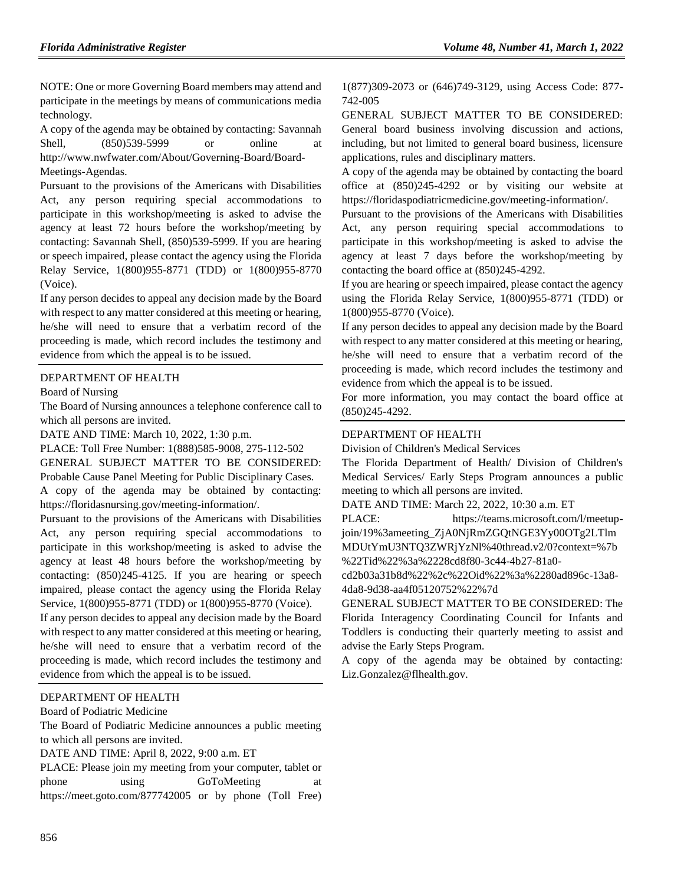NOTE: One or more Governing Board members may attend and participate in the meetings by means of communications media technology.

A copy of the agenda may be obtained by contacting: Savannah Shell, (850)539-5999 or online at http://www.nwfwater.com/About/Governing-Board/Board-Meetings-Agendas.

Pursuant to the provisions of the Americans with Disabilities Act, any person requiring special accommodations to participate in this workshop/meeting is asked to advise the agency at least 72 hours before the workshop/meeting by contacting: Savannah Shell, (850)539-5999. If you are hearing or speech impaired, please contact the agency using the Florida Relay Service, 1(800)955-8771 (TDD) or 1(800)955-8770 (Voice).

If any person decides to appeal any decision made by the Board with respect to any matter considered at this meeting or hearing, he/she will need to ensure that a verbatim record of the proceeding is made, which record includes the testimony and evidence from which the appeal is to be issued.

#### [DEPARTMENT OF HEALTH](https://www.flrules.org/gateway/department.asp?id=64)

[Board of Nursing](https://www.flrules.org/gateway/organization.asp?id=332)

The Board of Nursing announces a telephone conference call to which all persons are invited.

DATE AND TIME: March 10, 2022, 1:30 p.m.

PLACE: Toll Free Number: 1(888)585-9008, 275-112-502

GENERAL SUBJECT MATTER TO BE CONSIDERED:

Probable Cause Panel Meeting for Public Disciplinary Cases. A copy of the agenda may be obtained by contacting: https://floridasnursing.gov/meeting-information/.

Pursuant to the provisions of the Americans with Disabilities Act, any person requiring special accommodations to participate in this workshop/meeting is asked to advise the agency at least 48 hours before the workshop/meeting by contacting: (850)245-4125. If you are hearing or speech impaired, please contact the agency using the Florida Relay Service, 1(800)955-8771 (TDD) or 1(800)955-8770 (Voice).

If any person decides to appeal any decision made by the Board with respect to any matter considered at this meeting or hearing, he/she will need to ensure that a verbatim record of the proceeding is made, which record includes the testimony and evidence from which the appeal is to be issued.

#### DEPARTMENT OF HEALTH

Board of Podiatric Medicine

The Board of Podiatric Medicine announces a public meeting to which all persons are invited.

DATE AND TIME: April 8, 2022, 9:00 a.m. ET

PLACE: Please join my meeting from your computer, tablet or phone using GoToMeeting at <https://meet.goto.com/877742005> or by phone (Toll Free)

1(877)309-2073 or (646)749-3129, using Access Code: 877- 742-005

GENERAL SUBJECT MATTER TO BE CONSIDERED: General board business involving discussion and actions, including, but not limited to general board business, licensure applications, rules and disciplinary matters.

A copy of the agenda may be obtained by contacting the board office at (850)245-4292 or by visiting our website at [https://floridaspodiatricmedicine.gov/meeting-information/.](https://floridaspodiatricmedicine.gov/meeting-information/)

Pursuant to the provisions of the Americans with Disabilities Act, any person requiring special accommodations to participate in this workshop/meeting is asked to advise the agency at least 7 days before the workshop/meeting by contacting the board office at (850)245-4292.

If you are hearing or speech impaired, please contact the agency using the Florida Relay Service, 1(800)955-8771 (TDD) or 1(800)955-8770 (Voice).

If any person decides to appeal any decision made by the Board with respect to any matter considered at this meeting or hearing, he/she will need to ensure that a verbatim record of the proceeding is made, which record includes the testimony and evidence from which the appeal is to be issued.

For more information, you may contact the board office at (850)245-4292.

#### [DEPARTMENT OF HEALTH](https://www.flrules.org/gateway/department.asp?id=64)

[Division of Children's Medical Services](https://www.flrules.org/gateway/organization.asp?id=333)

The Florida Department of Health/ Division of Children's Medical Services/ Early Steps Program announces a public meeting to which all persons are invited.

DATE AND TIME: March 22, 2022, 10:30 a.m. ET

PLACE: https://teams.microsoft.com/l/meetupjoin/19%3ameeting\_ZjA0NjRmZGQtNGE3Yy00OTg2LTlm MDUtYmU3NTQ3ZWRjYzNl%40thread.v2/0?context=%7b

%22Tid%22%3a%2228cd8f80-3c44-4b27-81a0-

cd2b03a31b8d%22%2c%22Oid%22%3a%2280ad896c-13a8- 4da8-9d38-aa4f05120752%22%7d

GENERAL SUBJECT MATTER TO BE CONSIDERED: The Florida Interagency Coordinating Council for Infants and Toddlers is conducting their quarterly meeting to assist and advise the Early Steps Program.

A copy of the agenda may be obtained by contacting: Liz.Gonzalez@flhealth.gov.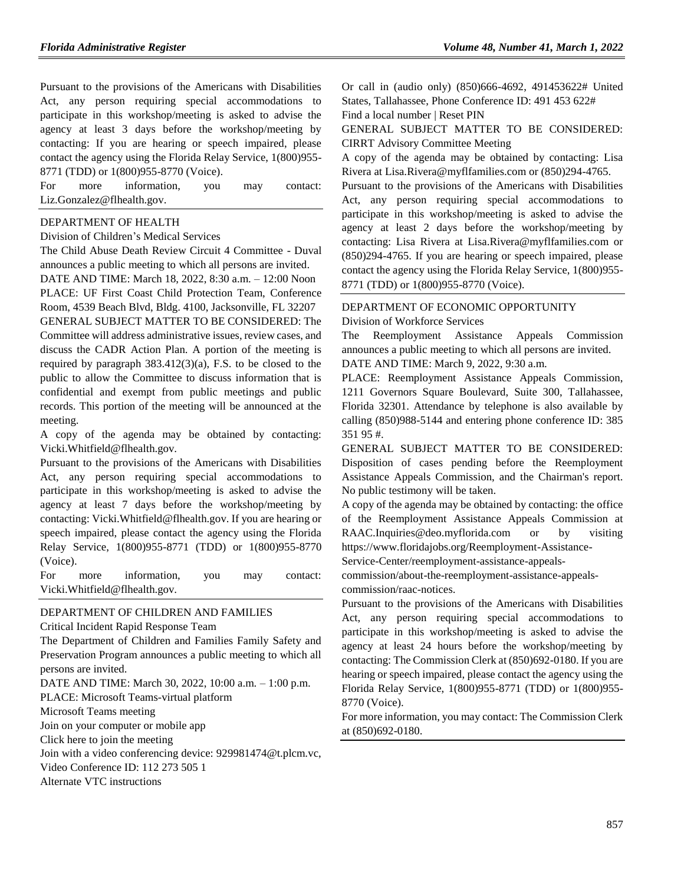Pursuant to the provisions of the Americans with Disabilities Act, any person requiring special accommodations to participate in this workshop/meeting is asked to advise the agency at least 3 days before the workshop/meeting by contacting: If you are hearing or speech impaired, please contact the agency using the Florida Relay Service, 1(800)955- 8771 (TDD) or 1(800)955-8770 (Voice).

For more information, you may contact: Liz.Gonzalez@flhealth.gov.

#### [DEPARTMENT OF HEALTH](https://www.flrules.org/gateway/department.asp?id=64)

[Division of Children's Medical Services](https://www.flrules.org/gateway/organization.asp?id=333)

The Child Abuse Death Review Circuit 4 Committee - Duval announces a public meeting to which all persons are invited. DATE AND TIME: March 18, 2022, 8:30 a.m. – 12:00 Noon PLACE: UF First Coast Child Protection Team, Conference Room, 4539 Beach Blvd, Bldg. 4100, Jacksonville, FL 32207 GENERAL SUBJECT MATTER TO BE CONSIDERED: The Committee will address administrative issues, review cases, and discuss the CADR Action Plan. A portion of the meeting is required by paragraph 383.412(3)(a), F.S. to be closed to the public to allow the Committee to discuss information that is confidential and exempt from public meetings and public records. This portion of the meeting will be announced at the meeting.

A copy of the agenda may be obtained by contacting: Vicki.Whitfield@flhealth.gov.

Pursuant to the provisions of the Americans with Disabilities Act, any person requiring special accommodations to participate in this workshop/meeting is asked to advise the agency at least 7 days before the workshop/meeting by contacting: Vicki.Whitfield@flhealth.gov. If you are hearing or speech impaired, please contact the agency using the Florida Relay Service, 1(800)955-8771 (TDD) or 1(800)955-8770 (Voice).

For more information, you may contact: Vicki.Whitfield@flhealth.gov.

#### [DEPARTMENT OF CHILDREN AND FAMILIES](https://www.flrules.org/gateway/department.asp?id=65)

[Critical Incident Rapid Response Team](https://www.flrules.org/gateway/organization.asp?id=1438)

The Department of Children and Families Family Safety and Preservation Program announces a public meeting to which all persons are invited.

DATE AND TIME: March 30, 2022, 10:00 a.m. – 1:00 p.m.

PLACE: Microsoft Teams-virtual platform

Microsoft Teams meeting

Join on your computer or mobile app

Click here to join the meeting

Join with a video conferencing device: 929981474@t.plcm.vc,

Video Conference ID: 112 273 505 1 Alternate VTC instructions

Or call in (audio only) (850)666-4692, 491453622# United States, Tallahassee, Phone Conference ID: 491 453 622# Find a local number | Reset PIN

GENERAL SUBJECT MATTER TO BE CONSIDERED: CIRRT Advisory Committee Meeting

A copy of the agenda may be obtained by contacting: Lisa Rivera at Lisa.Rivera@myflfamilies.com or (850)294-4765.

Pursuant to the provisions of the Americans with Disabilities Act, any person requiring special accommodations to participate in this workshop/meeting is asked to advise the agency at least 2 days before the workshop/meeting by contacting: Lisa Rivera at Lisa.Rivera@myflfamilies.com or (850)294-4765. If you are hearing or speech impaired, please contact the agency using the Florida Relay Service, 1(800)955- 8771 (TDD) or 1(800)955-8770 (Voice).

#### [DEPARTMENT OF ECONOMIC OPPORTUNITY](https://www.flrules.org/gateway/department.asp?id=73)

[Division of Workforce Services](https://www.flrules.org/gateway/organization.asp?id=1065)

The Reemployment Assistance Appeals Commission announces a public meeting to which all persons are invited. DATE AND TIME: March 9, 2022, 9:30 a.m.

PLACE: Reemployment Assistance Appeals Commission, 1211 Governors Square Boulevard, Suite 300, Tallahassee, Florida 32301. Attendance by telephone is also available by calling (850)988-5144 and entering phone conference ID: 385 351 95 #.

GENERAL SUBJECT MATTER TO BE CONSIDERED: Disposition of cases pending before the Reemployment Assistance Appeals Commission, and the Chairman's report. No public testimony will be taken.

A copy of the agenda may be obtained by contacting: the office of the Reemployment Assistance Appeals Commission at RAAC.Inquiries@deo.myflorida.com or by visiting https://www.floridajobs.org/Reemployment-Assistance-

Service-Center/reemployment-assistance-appeals-

commission/about-the-reemployment-assistance-appealscommission/raac-notices.

Pursuant to the provisions of the Americans with Disabilities Act, any person requiring special accommodations to participate in this workshop/meeting is asked to advise the agency at least 24 hours before the workshop/meeting by contacting: The Commission Clerk at (850)692-0180. If you are hearing or speech impaired, please contact the agency using the Florida Relay Service, 1(800)955-8771 (TDD) or 1(800)955- 8770 (Voice).

For more information, you may contact: The Commission Clerk at (850)692-0180.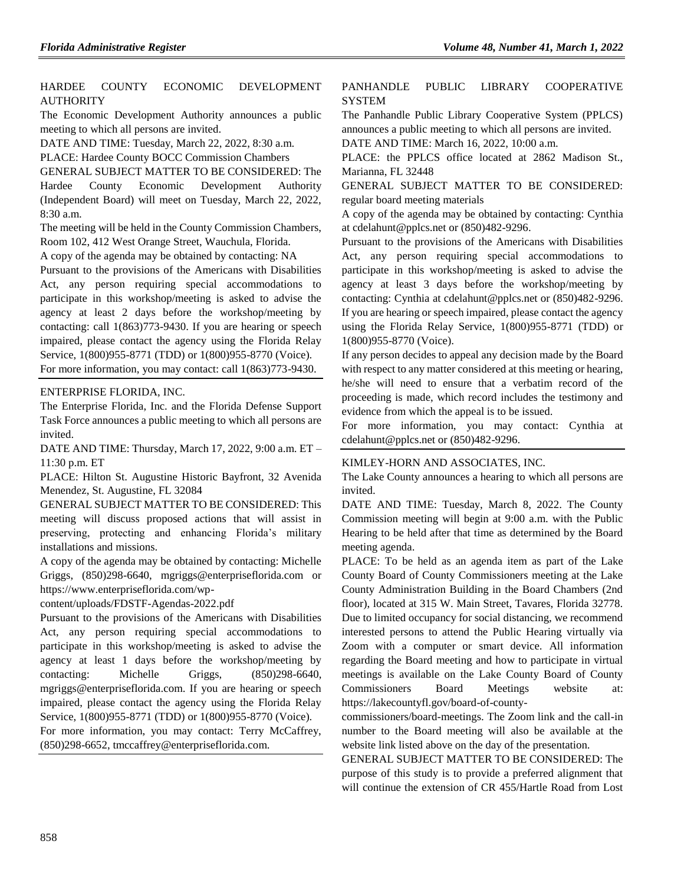### [HARDEE COUNTY ECONOMIC DEVELOPMENT](https://www.flrules.org/gateway/organization.asp?id=810)  **[AUTHORITY](https://www.flrules.org/gateway/organization.asp?id=810)**

The Economic Development Authority announces a public meeting to which all persons are invited.

DATE AND TIME: Tuesday, March 22, 2022, 8:30 a.m.

PLACE: Hardee County BOCC Commission Chambers

GENERAL SUBJECT MATTER TO BE CONSIDERED: The Hardee County Economic Development Authority (Independent Board) will meet on Tuesday, March 22, 2022, 8:30 a.m.

The meeting will be held in the County Commission Chambers, Room 102, 412 West Orange Street, Wauchula, Florida.

A copy of the agenda may be obtained by contacting: NA

Pursuant to the provisions of the Americans with Disabilities Act, any person requiring special accommodations to participate in this workshop/meeting is asked to advise the agency at least 2 days before the workshop/meeting by contacting: call 1(863)773-9430. If you are hearing or speech impaired, please contact the agency using the Florida Relay Service, 1(800)955-8771 (TDD) or 1(800)955-8770 (Voice).

For more information, you may contact: call 1(863)773-9430.

#### [ENTERPRISE FLORIDA, INC.](https://www.flrules.org/gateway/organization.asp?id=680)

The Enterprise Florida, Inc. and the Florida Defense Support Task Force announces a public meeting to which all persons are invited.

DATE AND TIME: Thursday, March 17, 2022, 9:00 a.m. ET – 11:30 p.m. ET

PLACE: Hilton St. Augustine Historic Bayfront, 32 Avenida Menendez, St. Augustine, FL 32084

GENERAL SUBJECT MATTER TO BE CONSIDERED: This meeting will discuss proposed actions that will assist in preserving, protecting and enhancing Florida's military installations and missions.

A copy of the agenda may be obtained by contacting: Michelle Griggs, (850)298-6640, mgriggs@enterpriseflorida.com or https://www.enterpriseflorida.com/wp-

content/uploads/FDSTF-Agendas-2022.pdf

Pursuant to the provisions of the Americans with Disabilities Act, any person requiring special accommodations to participate in this workshop/meeting is asked to advise the agency at least 1 days before the workshop/meeting by contacting: Michelle Griggs, (850)298-6640, mgriggs@enterpriseflorida.com. If you are hearing or speech impaired, please contact the agency using the Florida Relay Service, 1(800)955-8771 (TDD) or 1(800)955-8770 (Voice). For more information, you may contact: Terry McCaffrey,

(850)298-6652, tmccaffrey@enterpriseflorida.com.

#### [PANHANDLE PUBLIC LIBRARY COOPERATIVE](https://www.flrules.org/gateway/organization.asp?id=1317)  **[SYSTEM](https://www.flrules.org/gateway/organization.asp?id=1317)**

The Panhandle Public Library Cooperative System (PPLCS) announces a public meeting to which all persons are invited. DATE AND TIME: March 16, 2022, 10:00 a.m.

PLACE: the PPLCS office located at 2862 Madison St., Marianna, FL 32448

GENERAL SUBJECT MATTER TO BE CONSIDERED: regular board meeting materials

A copy of the agenda may be obtained by contacting: Cynthia at cdelahunt@pplcs.net or (850)482-9296.

Pursuant to the provisions of the Americans with Disabilities Act, any person requiring special accommodations to participate in this workshop/meeting is asked to advise the agency at least 3 days before the workshop/meeting by contacting: Cynthia at cdelahunt@pplcs.net or (850)482-9296. If you are hearing or speech impaired, please contact the agency using the Florida Relay Service, 1(800)955-8771 (TDD) or 1(800)955-8770 (Voice).

If any person decides to appeal any decision made by the Board with respect to any matter considered at this meeting or hearing, he/she will need to ensure that a verbatim record of the proceeding is made, which record includes the testimony and evidence from which the appeal is to be issued.

For more information, you may contact: Cynthia at cdelahunt@pplcs.net or (850)482-9296.

#### [KIMLEY-HORN AND ASSOCIATES, INC.](https://www.flrules.org/gateway/organization.asp?id=996)

The Lake County announces a hearing to which all persons are invited.

DATE AND TIME: Tuesday, March 8, 2022. The County Commission meeting will begin at 9:00 a.m. with the Public Hearing to be held after that time as determined by the Board meeting agenda.

PLACE: To be held as an agenda item as part of the Lake County Board of County Commissioners meeting at the Lake County Administration Building in the Board Chambers (2nd floor), located at 315 W. Main Street, Tavares, Florida 32778. Due to limited occupancy for social distancing, we recommend interested persons to attend the Public Hearing virtually via Zoom with a computer or smart device. All information regarding the Board meeting and how to participate in virtual meetings is available on the Lake County Board of County Commissioners Board Meetings website at: https://lakecountyfl.gov/board-of-county-

commissioners/board-meetings. The Zoom link and the call-in number to the Board meeting will also be available at the website link listed above on the day of the presentation.

GENERAL SUBJECT MATTER TO BE CONSIDERED: The purpose of this study is to provide a preferred alignment that will continue the extension of CR 455/Hartle Road from Lost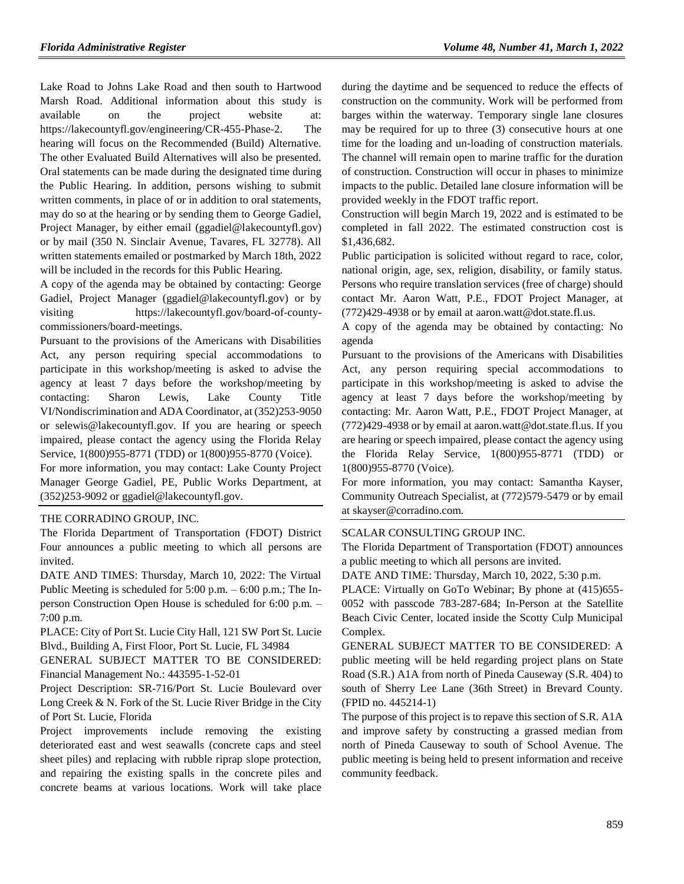Lake Road to Johns Lake Road and then south to Hartwood Marsh Road. Additional information about this study is available on the project website at: https://lakecountyfl.gov/engineering/CR-455-Phase-2. The hearing will focus on the Recommended (Build) Alternative. The other Evaluated Build Alternatives will also be presented. Oral statements can be made during the designated time during the Public Hearing. In addition, persons wishing to submit written comments, in place of or in addition to oral statements, may do so at the hearing or by sending them to George Gadiel, Project Manager, by either email (ggadiel@lakecountyfl.gov) or by mail (350 N. Sinclair Avenue, Tavares, FL 32778). All written statements emailed or postmarked by March 18th, 2022 will be included in the records for this Public Hearing.

A copy of the agenda may be obtained by contacting: George Gadiel, Project Manager (ggadiel@lakecountyfl.gov) or by visiting https://lakecountyfl.gov/board-of-countycommissioners/board-meetings.

Pursuant to the provisions of the Americans with Disabilities Act, any person requiring special accommodations to participate in this workshop/meeting is asked to advise the agency at least 7 days before the workshop/meeting by contacting: Sharon Lewis, Lake County Title VI/Nondiscrimination and ADA Coordinator, at (352)253-9050 or selewis@lakecountyfl.gov. If you are hearing or speech impaired, please contact the agency using the Florida Relay Service, 1(800)955-8771 (TDD) or 1(800)955-8770 (Voice).

For more information, you may contact: Lake County Project Manager George Gadiel, PE, Public Works Department, at (352)253-9092 or ggadiel@lakecountyfl.gov.

#### [THE CORRADINO GROUP, INC.](https://www.flrules.org/gateway/organization.asp?id=1048)

The Florida Department of Transportation (FDOT) District Four announces a public meeting to which all persons are invited.

DATE AND TIMES: Thursday, March 10, 2022: The Virtual Public Meeting is scheduled for 5:00 p.m. – 6:00 p.m.; The Inperson Construction Open House is scheduled for 6:00 p.m. – 7:00 p.m.

PLACE: City of Port St. Lucie City Hall, 121 SW Port St. Lucie Blvd., Building A, First Floor, Port St. Lucie, FL 34984

GENERAL SUBJECT MATTER TO BE CONSIDERED: Financial Management No.: 443595-1-52-01

Project Description: SR-716/Port St. Lucie Boulevard over Long Creek & N. Fork of the St. Lucie River Bridge in the City of Port St. Lucie, Florida

Project improvements include removing the existing deteriorated east and west seawalls (concrete caps and steel sheet piles) and replacing with rubble riprap slope protection, and repairing the existing spalls in the concrete piles and concrete beams at various locations. Work will take place

during the daytime and be sequenced to reduce the effects of construction on the community. Work will be performed from barges within the waterway. Temporary single lane closures may be required for up to three (3) consecutive hours at one time for the loading and un-loading of construction materials. The channel will remain open to marine traffic for the duration of construction. Construction will occur in phases to minimize impacts to the public. Detailed lane closure information will be provided weekly in the FDOT traffic report.

Construction will begin March 19, 2022 and is estimated to be completed in fall 2022. The estimated construction cost is \$1,436,682.

Public participation is solicited without regard to race, color, national origin, age, sex, religion, disability, or family status. Persons who require translation services (free of charge) should contact Mr. Aaron Watt, P.E., FDOT Project Manager, at (772)429-4938 or by email at aaron.watt@dot.state.fl.us.

A copy of the agenda may be obtained by contacting: No agenda

Pursuant to the provisions of the Americans with Disabilities Act, any person requiring special accommodations to participate in this workshop/meeting is asked to advise the agency at least 7 days before the workshop/meeting by contacting: Mr. Aaron Watt, P.E., FDOT Project Manager, at (772)429-4938 or by email at aaron.watt@dot.state.fl.us. If you are hearing or speech impaired, please contact the agency using the Florida Relay Service, 1(800)955-8771 (TDD) or 1(800)955-8770 (Voice).

For more information, you may contact: Samantha Kayser, Community Outreach Specialist, at (772)579-5479 or by email at skayser@corradino.com.

#### [SCALAR CONSULTING GROUP INC.](https://www.flrules.org/gateway/organization.asp?id=1133)

The Florida Department of Transportation (FDOT) announces a public meeting to which all persons are invited.

DATE AND TIME: Thursday, March 10, 2022, 5:30 p.m.

PLACE: Virtually on GoTo Webinar; By phone at (415)655- 0052 with passcode 783-287-684; In-Person at the Satellite Beach Civic Center, located inside the Scotty Culp Municipal Complex.

GENERAL SUBJECT MATTER TO BE CONSIDERED: A public meeting will be held regarding project plans on State Road (S.R.) A1A from north of Pineda Causeway (S.R. 404) to south of Sherry Lee Lane (36th Street) in Brevard County. (FPID no. 445214-1)

The purpose of this project is to repave this section of S.R. A1A and improve safety by constructing a grassed median from north of Pineda Causeway to south of School Avenue. The public meeting is being held to present information and receive community feedback.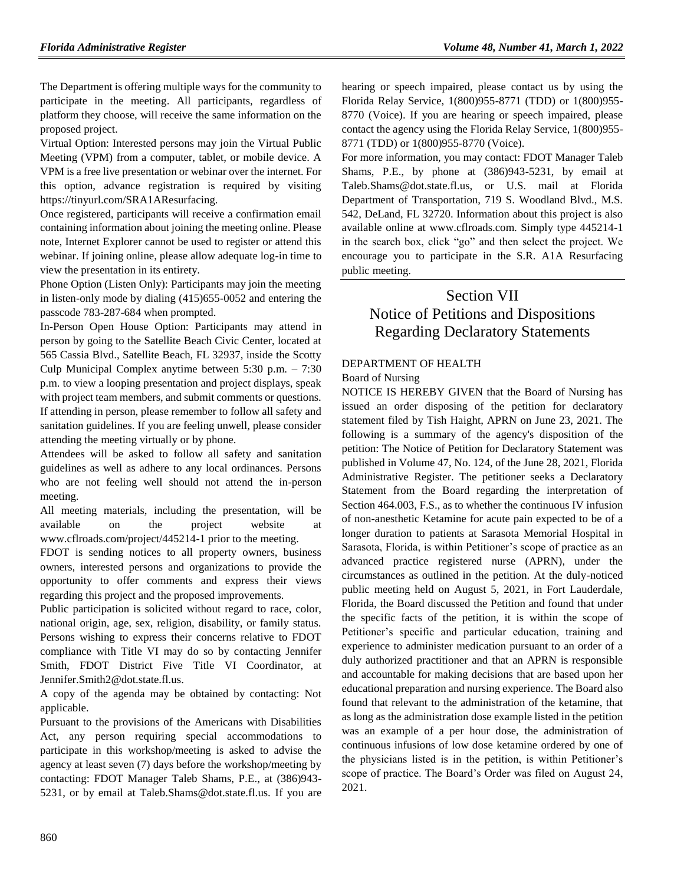The Department is offering multiple ways for the community to participate in the meeting. All participants, regardless of platform they choose, will receive the same information on the proposed project.

Virtual Option: Interested persons may join the Virtual Public Meeting (VPM) from a computer, tablet, or mobile device. A VPM is a free live presentation or webinar over the internet. For this option, advance registration is required by visiting https://tinyurl.com/SRA1AResurfacing.

Once registered, participants will receive a confirmation email containing information about joining the meeting online. Please note, Internet Explorer cannot be used to register or attend this webinar. If joining online, please allow adequate log-in time to view the presentation in its entirety.

Phone Option (Listen Only): Participants may join the meeting in listen-only mode by dialing (415)655-0052 and entering the passcode 783-287-684 when prompted.

In-Person Open House Option: Participants may attend in person by going to the Satellite Beach Civic Center, located at 565 Cassia Blvd., Satellite Beach, FL 32937, inside the Scotty Culp Municipal Complex anytime between 5:30 p.m. – 7:30 p.m. to view a looping presentation and project displays, speak with project team members, and submit comments or questions. If attending in person, please remember to follow all safety and sanitation guidelines. If you are feeling unwell, please consider attending the meeting virtually or by phone.

Attendees will be asked to follow all safety and sanitation guidelines as well as adhere to any local ordinances. Persons who are not feeling well should not attend the in-person meeting.

All meeting materials, including the presentation, will be available on the project website at www.cflroads.com/project/445214-1 prior to the meeting.

FDOT is sending notices to all property owners, business owners, interested persons and organizations to provide the opportunity to offer comments and express their views regarding this project and the proposed improvements.

Public participation is solicited without regard to race, color, national origin, age, sex, religion, disability, or family status. Persons wishing to express their concerns relative to FDOT compliance with Title VI may do so by contacting Jennifer Smith, FDOT District Five Title VI Coordinator, at Jennifer.Smith2@dot.state.fl.us.

A copy of the agenda may be obtained by contacting: Not applicable.

Pursuant to the provisions of the Americans with Disabilities Act, any person requiring special accommodations to participate in this workshop/meeting is asked to advise the agency at least seven (7) days before the workshop/meeting by contacting: FDOT Manager Taleb Shams, P.E., at (386)943- 5231, or by email at Taleb.Shams@dot.state.fl.us. If you are hearing or speech impaired, please contact us by using the Florida Relay Service, 1(800)955-8771 (TDD) or 1(800)955- 8770 (Voice). If you are hearing or speech impaired, please contact the agency using the Florida Relay Service, 1(800)955- 8771 (TDD) or 1(800)955-8770 (Voice).

For more information, you may contact: FDOT Manager Taleb Shams, P.E., by phone at (386)943-5231, by email at Taleb.Shams@dot.state.fl.us, or U.S. mail at Florida Department of Transportation, 719 S. Woodland Blvd., M.S. 542, DeLand, FL 32720. Information about this project is also available online at www.cflroads.com. Simply type 445214-1 in the search box, click "go" and then select the project. We encourage you to participate in the S.R. A1A Resurfacing public meeting.

# Section VII Notice of Petitions and Dispositions Regarding Declaratory Statements

### [DEPARTMENT OF HEALTH](https://www.flrules.org/gateway/department.asp?id=64)

[Board of Nursing](https://www.flrules.org/gateway/organization.asp?id=332)

NOTICE IS HEREBY GIVEN that the Board of Nursing has issued an order disposing of the petition for declaratory statement filed by Tish Haight, APRN on June 23, 2021. The following is a summary of the agency's disposition of the petition: The Notice of Petition for Declaratory Statement was published in Volume 47, No. 124, of the June 28, 2021, Florida Administrative Register. The petitioner seeks a Declaratory Statement from the Board regarding the interpretation of Section 464.003, F.S., as to whether the continuous IV infusion of non-anesthetic Ketamine for acute pain expected to be of a longer duration to patients at Sarasota Memorial Hospital in Sarasota, Florida, is within Petitioner's scope of practice as an advanced practice registered nurse (APRN), under the circumstances as outlined in the petition. At the duly-noticed public meeting held on August 5, 2021, in Fort Lauderdale, Florida, the Board discussed the Petition and found that under the specific facts of the petition, it is within the scope of Petitioner's specific and particular education, training and experience to administer medication pursuant to an order of a duly authorized practitioner and that an APRN is responsible and accountable for making decisions that are based upon her educational preparation and nursing experience. The Board also found that relevant to the administration of the ketamine, that as long as the administration dose example listed in the petition was an example of a per hour dose, the administration of continuous infusions of low dose ketamine ordered by one of the physicians listed is in the petition, is within Petitioner's scope of practice. The Board's Order was filed on August 24, 2021.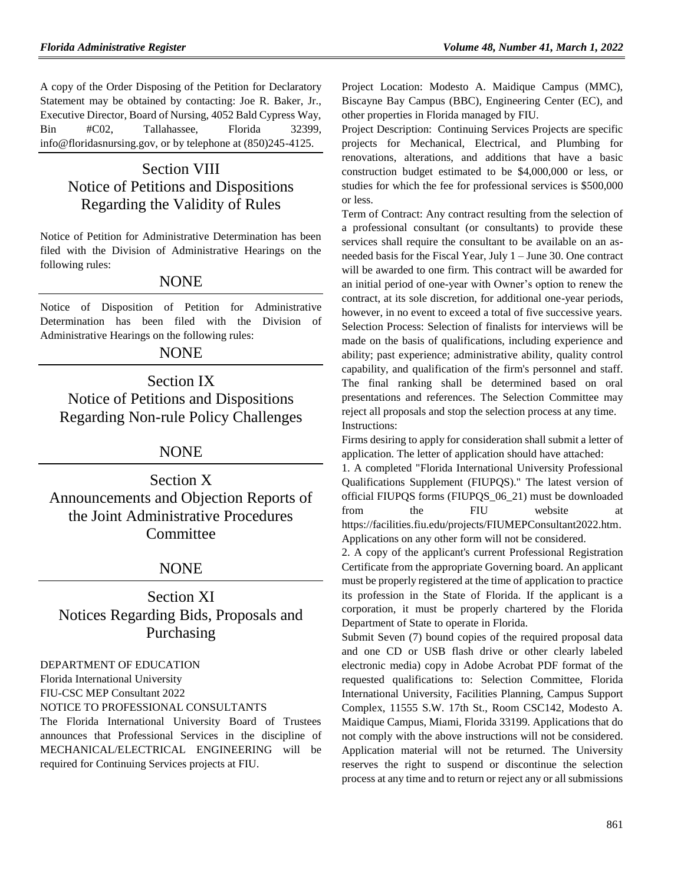A copy of the Order Disposing of the Petition for Declaratory Statement may be obtained by contacting: Joe R. Baker, Jr., Executive Director, Board of Nursing, 4052 Bald Cypress Way, Bin #C02, Tallahassee, Florida 32399, info@floridasnursing.gov, or by telephone at (850)245-4125.

## Section VIII Notice of Petitions and Dispositions Regarding the Validity of Rules

Notice of Petition for Administrative Determination has been filed with the Division of Administrative Hearings on the following rules:

## NONE

Notice of Disposition of Petition for Administrative Determination has been filed with the Division of Administrative Hearings on the following rules:

## **NONE**

# Section IX Notice of Petitions and Dispositions Regarding Non-rule Policy Challenges

## NONE

Section X Announcements and Objection Reports of the Joint Administrative Procedures **Committee** 

## NONE

## Section XI Notices Regarding Bids, Proposals and Purchasing

[DEPARTMENT OF EDUCATION](https://www.flrules.org/gateway/department.asp?id=6)

[Florida International University](https://www.flrules.org/gateway/organization.asp?id=206)

FIU-CSC MEP Consultant 2022

NOTICE TO PROFESSIONAL CONSULTANTS

The Florida International University Board of Trustees announces that Professional Services in the discipline of MECHANICAL/ELECTRICAL ENGINEERING will be required for Continuing Services projects at FIU.

Project Location: Modesto A. Maidique Campus (MMC), Biscayne Bay Campus (BBC), Engineering Center (EC), and other properties in Florida managed by FIU.

Project Description: Continuing Services Projects are specific projects for Mechanical, Electrical, and Plumbing for renovations, alterations, and additions that have a basic construction budget estimated to be \$4,000,000 or less, or studies for which the fee for professional services is \$500,000 or less.

Term of Contract: Any contract resulting from the selection of a professional consultant (or consultants) to provide these services shall require the consultant to be available on an asneeded basis for the Fiscal Year, July 1 – June 30. One contract will be awarded to one firm. This contract will be awarded for an initial period of one-year with Owner's option to renew the contract, at its sole discretion, for additional one-year periods, however, in no event to exceed a total of five successive years. Selection Process: Selection of finalists for interviews will be made on the basis of qualifications, including experience and ability; past experience; administrative ability, quality control capability, and qualification of the firm's personnel and staff. The final ranking shall be determined based on oral presentations and references. The Selection Committee may reject all proposals and stop the selection process at any time. Instructions:

Firms desiring to apply for consideration shall submit a letter of application. The letter of application should have attached:

1. A completed "Florida International University Professional Qualifications Supplement (FIUPQS)." The latest version of official FIUPQS forms (FIUPQS\_06\_21) must be downloaded from the FIU website at [https://facilities.fiu.edu/projects/FIUMEPConsultant2022.htm.](https://facilities.fiu.edu/projects/FIUMEPConsultant2022.htm) Applications on any other form will not be considered.

2. A copy of the applicant's current Professional Registration Certificate from the appropriate Governing board. An applicant must be properly registered at the time of application to practice its profession in the State of Florida. If the applicant is a corporation, it must be properly chartered by the Florida Department of State to operate in Florida.

Submit Seven (7) bound copies of the required proposal data and one CD or USB flash drive or other clearly labeled electronic media) copy in Adobe Acrobat PDF format of the requested qualifications to: Selection Committee, Florida International University, Facilities Planning, Campus Support Complex, 11555 S.W. 17th St., Room CSC142, Modesto A. Maidique Campus, Miami, Florida 33199. Applications that do not comply with the above instructions will not be considered. Application material will not be returned. The University reserves the right to suspend or discontinue the selection process at any time and to return or reject any or all submissions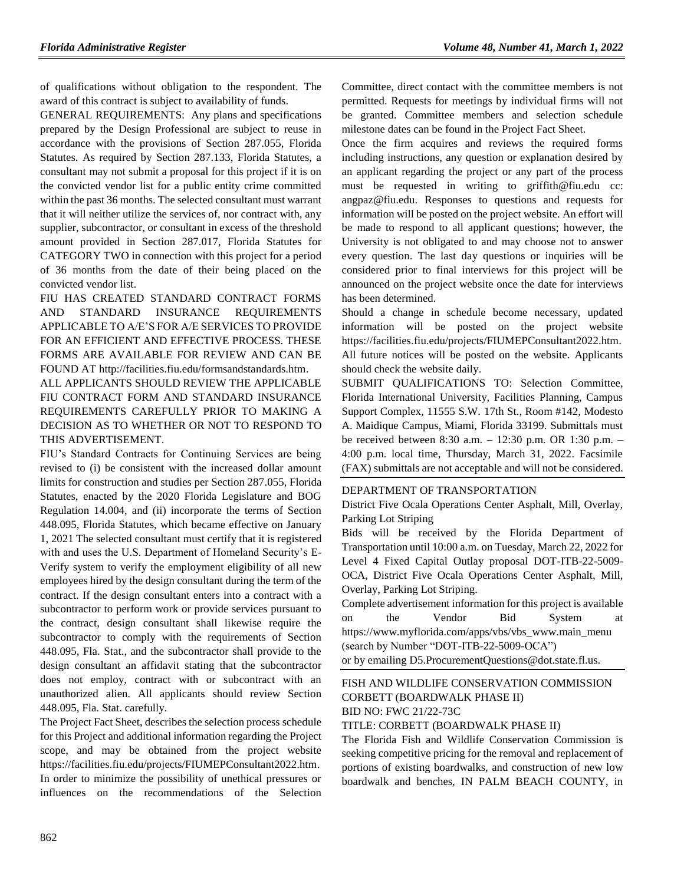of qualifications without obligation to the respondent. The award of this contract is subject to availability of funds.

GENERAL REQUIREMENTS: Any plans and specifications prepared by the Design Professional are subject to reuse in accordance with the provisions of Section 287.055, Florida Statutes. As required by Section 287.133, Florida Statutes, a consultant may not submit a proposal for this project if it is on the convicted vendor list for a public entity crime committed within the past 36 months. The selected consultant must warrant that it will neither utilize the services of, nor contract with, any supplier, subcontractor, or consultant in excess of the threshold amount provided in Section 287.017, Florida Statutes for CATEGORY TWO in connection with this project for a period of 36 months from the date of their being placed on the convicted vendor list.

FIU HAS CREATED STANDARD CONTRACT FORMS AND STANDARD INSURANCE REQUIREMENTS APPLICABLE TO A/E'S FOR A/E SERVICES TO PROVIDE FOR AN EFFICIENT AND EFFECTIVE PROCESS. THESE FORMS ARE AVAILABLE FOR REVIEW AND CAN BE FOUND AT [http://facilities.fiu.edu/formsandstandards.htm.](http://facilities.fiu.edu/formsandstandards.htm)

ALL APPLICANTS SHOULD REVIEW THE APPLICABLE FIU CONTRACT FORM AND STANDARD INSURANCE REQUIREMENTS CAREFULLY PRIOR TO MAKING A DECISION AS TO WHETHER OR NOT TO RESPOND TO THIS ADVERTISEMENT.

FIU's Standard Contracts for Continuing Services are being revised to (i) be consistent with the increased dollar amount limits for construction and studies per Section 287.055, Florida Statutes, enacted by the 2020 Florida Legislature and BOG Regulation 14.004, and (ii) incorporate the terms of Section 448.095, Florida Statutes, which became effective on January 1, 2021 The selected consultant must certify that it is registered with and uses the U.S. Department of Homeland Security's E-Verify system to verify the employment eligibility of all new employees hired by the design consultant during the term of the contract. If the design consultant enters into a contract with a subcontractor to perform work or provide services pursuant to the contract, design consultant shall likewise require the subcontractor to comply with the requirements of Section 448.095, Fla. Stat., and the subcontractor shall provide to the design consultant an affidavit stating that the subcontractor does not employ, contract with or subcontract with an unauthorized alien. All applicants should review Section 448.095, Fla. Stat. carefully.

The Project Fact Sheet, describes the selection process schedule for this Project and additional information regarding the Project scope, and may be obtained from the project website [https://facilities.fiu.edu/projects/FIUMEPConsultant2022.htm.](https://facilities.fiu.edu/projects/FIUMEPConsultant2022.htm) In order to minimize the possibility of unethical pressures or influences on the recommendations of the Selection Committee, direct contact with the committee members is not permitted. Requests for meetings by individual firms will not be granted. Committee members and selection schedule milestone dates can be found in the Project Fact Sheet.

Once the firm acquires and reviews the required forms including instructions, any question or explanation desired by an applicant regarding the project or any part of the process must be requested in writing to [griffith@fiu.edu](mailto:griffith@fiu.edu) cc: angpaz@fiu.edu. Responses to questions and requests for information will be posted on the project website. An effort will be made to respond to all applicant questions; however, the University is not obligated to and may choose not to answer every question. The last day questions or inquiries will be considered prior to final interviews for this project will be announced on the project website once the date for interviews has been determined.

Should a change in schedule become necessary, updated information will be posted on the project website [https://facilities.fiu.edu/projects/FIUMEPConsultant2022.htm.](https://facilities.fiu.edu/projects/FIUMEPConsultant2022.htm) All future notices will be posted on the website. Applicants should check the website daily.

SUBMIT QUALIFICATIONS TO: Selection Committee, Florida International University, Facilities Planning, Campus Support Complex, 11555 S.W. 17th St., Room #142, Modesto A. Maidique Campus, Miami, Florida 33199. Submittals must be received between 8:30 a.m. – 12:30 p.m. OR 1:30 p.m. – 4:00 p.m. local time, Thursday, March 31, 2022. Facsimile (FAX) submittals are not acceptable and will not be considered.

#### [DEPARTMENT OF TRANSPORTATION](https://www.flrules.org/gateway/department.asp?id=14)

District Five Ocala Operations Center Asphalt, Mill, Overlay, Parking Lot Striping

Bids will be received by the Florida Department of Transportation until 10:00 a.m. on Tuesday, March 22, 2022 for Level 4 Fixed Capital Outlay proposal DOT-ITB-22-5009- OCA, District Five Ocala Operations Center Asphalt, Mill, Overlay, Parking Lot Striping.

Complete advertisement information for this project is available on the Vendor Bid System at [https://www.myflorida.com/apps/vbs/vbs\\_www.main\\_menu](https://gcc02.safelinks.protection.outlook.com/?url=https%3A%2F%2Fwww.myflorida.com%2Fapps%2Fvbs%2Fvbs_www.main_menu&data=04%7C01%7CAngela.Richards%40dot.state.fl.us%7Cdf1047a650554d6a657108d9fad5f356%7Cdb21de5dbc9c420c8f3f8f08f85b5ada%7C0%7C0%7C637816619075153270%7CUnknown%7CTWFpbGZsb3d8eyJWIjoiMC4wLjAwMDAiLCJQIjoiV2luMzIiLCJBTiI6Ik1haWwiLCJXVCI6Mn0%3D%7C3000&sdata=gv0XqDPV%2FxNWWkYDTMW9Zq0Cgwj%2BPfqgfTPBh0i%2BMDQ%3D&reserved=0) (search by Number "DOT-ITB-22-5009-OCA") or by emailing D5.ProcurementQuestions@dot.state.fl.us.

#### [FISH AND WILDLIFE CONSERVATION COMMISSION](https://www.flrules.org/gateway/department.asp?id=68) CORBETT (BOARDWALK PHASE II) BID NO: FWC 21/22-73C

#### TITLE: CORBETT (BOARDWALK PHASE II)

The Florida Fish and Wildlife Conservation Commission is seeking competitive pricing for the removal and replacement of portions of existing boardwalks, and construction of new low boardwalk and benches, IN PALM BEACH COUNTY, in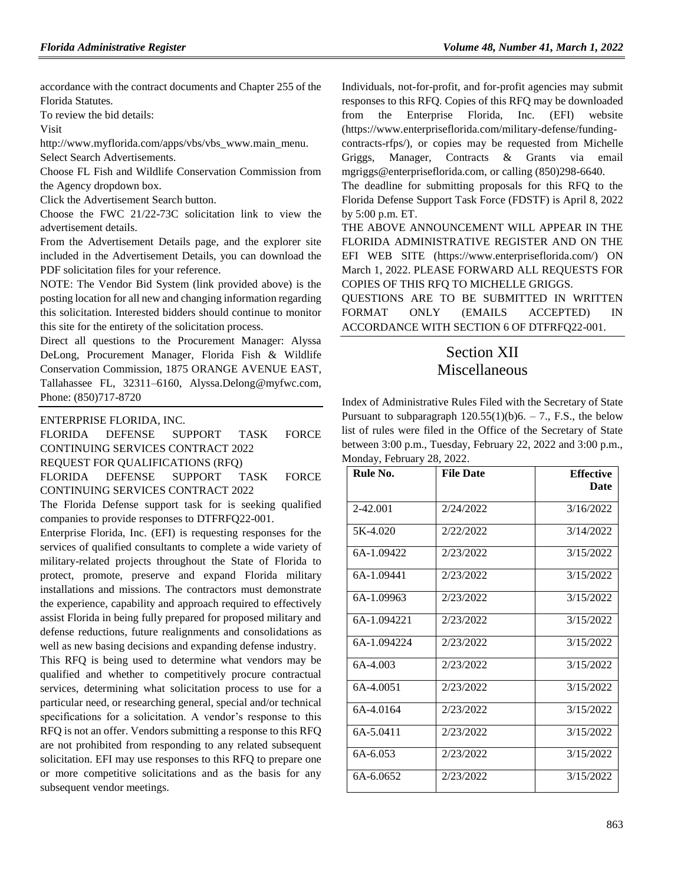accordance with the contract documents and Chapter 255 of the Florida Statutes.

To review the bid details:

Visit

[http://www.myflorida.com/apps/vbs/vbs\\_www.main\\_menu.](http://www.myflorida.com/apps/vbs/vbs_www.main_menu) Select Search Advertisements.

Choose FL Fish and Wildlife Conservation Commission from the Agency dropdown box.

Click the Advertisement Search button.

Choose the FWC 21/22-73C solicitation link to view the advertisement details.

From the Advertisement Details page, and the explorer site included in the Advertisement Details, you can download the PDF solicitation files for your reference.

NOTE: The Vendor Bid System (link provided above) is the posting location for all new and changing information regarding this solicitation. Interested bidders should continue to monitor this site for the entirety of the solicitation process.

Direct all questions to the Procurement Manager: Alyssa DeLong, Procurement Manager, Florida Fish & Wildlife Conservation Commission, 1875 ORANGE AVENUE EAST, Tallahassee FL, 32311–6160, Alyssa.Delong@myfwc.com, Phone: (850)717-8720

[ENTERPRISE FLORIDA, INC.](https://www.flrules.org/gateway/organization.asp?id=680)

FLORIDA DEFENSE SUPPORT TASK FORCE CONTINUING SERVICES CONTRACT 2022 REQUEST FOR QUALIFICATIONS (RFQ)

FLORIDA DEFENSE SUPPORT TASK FORCE

CONTINUING SERVICES CONTRACT 2022

The Florida Defense support task for is seeking qualified companies to provide responses to DTFRFQ22-001.

Enterprise Florida, Inc. (EFI) is requesting responses for the services of qualified consultants to complete a wide variety of military-related projects throughout the State of Florida to protect, promote, preserve and expand Florida military installations and missions. The contractors must demonstrate the experience, capability and approach required to effectively assist Florida in being fully prepared for proposed military and defense reductions, future realignments and consolidations as well as new basing decisions and expanding defense industry.

This RFQ is being used to determine what vendors may be qualified and whether to competitively procure contractual services, determining what solicitation process to use for a particular need, or researching general, special and/or technical specifications for a solicitation. A vendor's response to this RFQ is not an offer. Vendors submitting a response to this RFQ are not prohibited from responding to any related subsequent solicitation. EFI may use responses to this RFQ to prepare one or more competitive solicitations and as the basis for any subsequent vendor meetings.

Individuals, not-for-profit, and for-profit agencies may submit responses to this RFQ. Copies of this RFQ may be downloaded from the Enterprise Florida, Inc. (EFI) website [\(https://www.enterpriseflorida.com/military-defense/funding-](https://www.enterpriseflorida.com/military-defense/funding-contracts-rfps/)

[contracts-rfps/\)](https://www.enterpriseflorida.com/military-defense/funding-contracts-rfps/), or copies may be requested from Michelle Griggs, Manager, Contracts & Grants via email [mgriggs@enterpriseflorida.com,](mailto:mgriggs@enterpriseflorida.com) or calling (850)298-6640.

The deadline for submitting proposals for this RFQ to the Florida Defense Support Task Force (FDSTF) is April 8, 2022 by 5:00 p.m. ET.

THE ABOVE ANNOUNCEMENT WILL APPEAR IN THE FLORIDA ADMINISTRATIVE REGISTER AND ON THE EFI WEB SITE [\(https://www.enterpriseflorida.com/\)](https://www.enterpriseflorida.com/) ON March 1, 2022. PLEASE FORWARD ALL REQUESTS FOR COPIES OF THIS RFQ TO MICHELLE GRIGGS.

QUESTIONS ARE TO BE SUBMITTED IN WRITTEN FORMAT ONLY (EMAILS ACCEPTED) IN ACCORDANCE WITH SECTION 6 OF DTFRFQ22-001.

## Section XII **Miscellaneous**

Index of Administrative Rules Filed with the Secretary of State Pursuant to subparagraph  $120.55(1)(b)6. - 7$ ., F.S., the below list of rules were filed in the Office of the Secretary of State between 3:00 p.m., Tuesday, February 22, 2022 and 3:00 p.m., Monday, February 28, 2022.

| Rule No.    | <b>File Date</b> | <b>Effective</b><br><b>Date</b> |
|-------------|------------------|---------------------------------|
| 2-42.001    | 2/24/2022        | 3/16/2022                       |
| 5K-4.020    | 2/22/2022        | 3/14/2022                       |
| 6A-1.09422  | 2/23/2022        | 3/15/2022                       |
| 6A-1.09441  | 2/23/2022        | 3/15/2022                       |
| 6A-1.09963  | 2/23/2022        | 3/15/2022                       |
| 6A-1.094221 | 2/23/2022        | 3/15/2022                       |
| 6A-1.094224 | 2/23/2022        | 3/15/2022                       |
| 6A-4.003    | 2/23/2022        | 3/15/2022                       |
| 6A-4.0051   | 2/23/2022        | 3/15/2022                       |
| 6A-4.0164   | 2/23/2022        | 3/15/2022                       |
| 6A-5.0411   | 2/23/2022        | 3/15/2022                       |
| 6A-6.053    | 2/23/2022        | 3/15/2022                       |
| 6A-6.0652   | 2/23/2022        | 3/15/2022                       |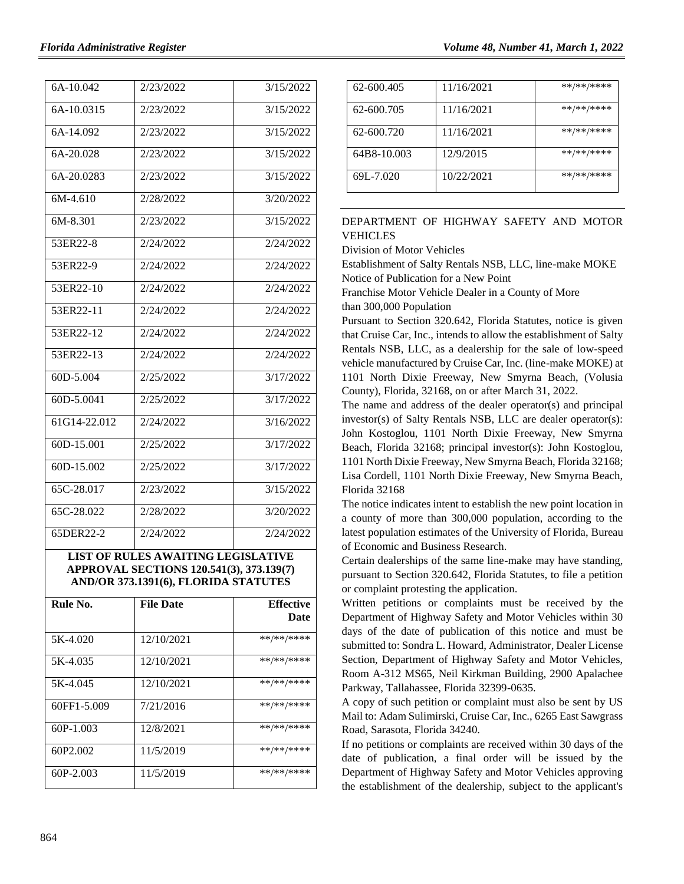| 6A-10.042      | 2/23/2022 | 3/15/2022 |
|----------------|-----------|-----------|
| 6A-10.0315     | 2/23/2022 | 3/15/2022 |
| 6A-14.092      | 2/23/2022 | 3/15/2022 |
| 6A-20.028      | 2/23/2022 | 3/15/2022 |
| 6A-20.0283     | 2/23/2022 | 3/15/2022 |
| 6M-4.610       | 2/28/2022 | 3/20/2022 |
| 6M-8.301       | 2/23/2022 | 3/15/2022 |
| 53ER22-8       | 2/24/2022 | 2/24/2022 |
| 53ER22-9       | 2/24/2022 | 2/24/2022 |
| 53ER22-10      | 2/24/2022 | 2/24/2022 |
| 53ER22-11      | 2/24/2022 | 2/24/2022 |
| 53ER22-12      | 2/24/2022 | 2/24/2022 |
| 53ER22-13      | 2/24/2022 | 2/24/2022 |
| 60D-5.004      | 2/25/2022 | 3/17/2022 |
| 60D-5.0041     | 2/25/2022 | 3/17/2022 |
| 61G14-22.012   | 2/24/2022 | 3/16/2022 |
| 60D-15.001     | 2/25/2022 | 3/17/2022 |
| 60D-15.002     | 2/25/2022 | 3/17/2022 |
| $65C - 28.017$ | 2/23/2022 | 3/15/2022 |
| 65C-28.022     | 2/28/2022 | 3/20/2022 |
| 65DER22-2      | 2/24/2022 | 2/24/2022 |

#### **LIST OF RULES AWAITING LEGISLATIVE APPROVAL SECTIONS 120.541(3), 373.139(7) AND/OR 373.1391(6), FLORIDA STATUTES**

| Rule No.             | <b>File Date</b> | <b>Effective</b><br>Date |
|----------------------|------------------|--------------------------|
| 5K-4.020             | 12/10/2021       | **/**/****               |
| 5K-4.035             | 12/10/2021       | **/**/****               |
| 5K-4.045             | 12/10/2021       | **/**/****               |
| 60FF1-5.009          | 7/21/2016        | **/**/****               |
| $60P-1.003$          | 12/8/2021        | **/**/****               |
| 60P <sub>2.002</sub> | 11/5/2019        | **/**/****               |
| 60P-2.003            | 11/5/2019        | **/**/****               |

| 62-600.405  | 11/16/2021 | **/**/**** |
|-------------|------------|------------|
| 62-600.705  | 11/16/2021 | **/**/**** |
| 62-600.720  | 11/16/2021 | **/**/**** |
| 64B8-10.003 | 12/9/2015  | **/**/**** |
| 69L-7.020   | 10/22/2021 | **/**/**** |

## [DEPARTMENT OF HIGHWAY SAFETY AND MOTOR](https://www.flrules.org/gateway/department.asp?id=15)  [VEHICLES](https://www.flrules.org/gateway/department.asp?id=15)

[Division of Motor Vehicles](https://www.flrules.org/gateway/organization.asp?id=42)

Establishment of Salty Rentals NSB, LLC, line-make MOKE Notice of Publication for a New Point

Franchise Motor Vehicle Dealer in a County of More than 300,000 Population

Pursuant to Section 320.642, Florida Statutes, notice is given that Cruise Car, Inc., intends to allow the establishment of Salty Rentals NSB, LLC, as a dealership for the sale of low-speed vehicle manufactured by Cruise Car, Inc. (line-make MOKE) at 1101 North Dixie Freeway, New Smyrna Beach, (Volusia County), Florida, 32168, on or after March 31, 2022.

The name and address of the dealer operator(s) and principal investor(s) of Salty Rentals NSB, LLC are dealer operator(s): John Kostoglou, 1101 North Dixie Freeway, New Smyrna Beach, Florida 32168; principal investor(s): John Kostoglou, 1101 North Dixie Freeway, New Smyrna Beach, Florida 32168; Lisa Cordell, 1101 North Dixie Freeway, New Smyrna Beach, Florida 32168

The notice indicates intent to establish the new point location in a county of more than 300,000 population, according to the latest population estimates of the University of Florida, Bureau of Economic and Business Research.

Certain dealerships of the same line-make may have standing, pursuant to Section 320.642, Florida Statutes, to file a petition or complaint protesting the application.

Written petitions or complaints must be received by the Department of Highway Safety and Motor Vehicles within 30 days of the date of publication of this notice and must be submitted to: Sondra L. Howard, Administrator, Dealer License Section, Department of Highway Safety and Motor Vehicles, Room A-312 MS65, Neil Kirkman Building, 2900 Apalachee Parkway, Tallahassee, Florida 32399-0635.

A copy of such petition or complaint must also be sent by US Mail to: Adam Sulimirski, Cruise Car, Inc., 6265 East Sawgrass Road, Sarasota, Florida 34240.

If no petitions or complaints are received within 30 days of the date of publication, a final order will be issued by the Department of Highway Safety and Motor Vehicles approving the establishment of the dealership, subject to the applicant's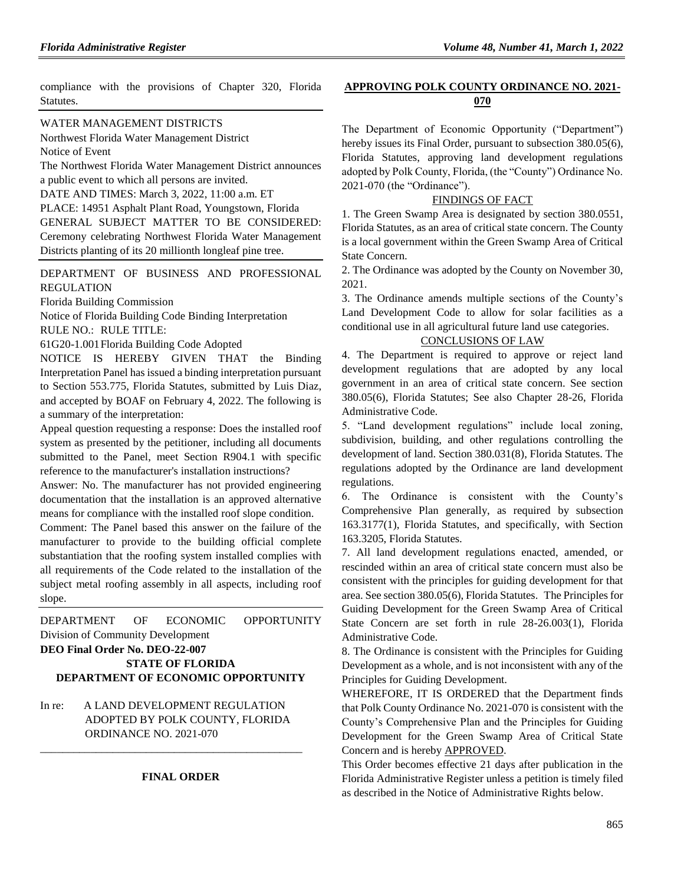compliance with the provisions of Chapter 320, Florida Statutes.

#### [WATER MANAGEMENT DISTRICTS](https://www.flrules.org/gateway/department.asp?id=40)

Northwest [Florida Water Management District](https://www.flrules.org/gateway/organization.asp?id=120) Notice of Event

The Northwest Florida Water Management District announces a public event to which all persons are invited.

DATE AND TIMES: March 3, 2022, 11:00 a.m. ET

PLACE: 14951 Asphalt Plant Road, Youngstown, Florida GENERAL SUBJECT MATTER TO BE CONSIDERED: Ceremony celebrating Northwest Florida Water Management Districts planting of its 20 millionth longleaf pine tree.

#### [DEPARTMENT OF BUSINESS AND PROFESSIONAL](https://www.flrules.org/gateway/department.asp?id=61)  [REGULATION](https://www.flrules.org/gateway/department.asp?id=61)

[Florida Building Commission](https://www.flrules.org/gateway/organization.asp?id=1071)

Notice of Florida Building Code Binding Interpretation

RULE NO.: RULE TITLE:

[61G20-1.001F](https://www.flrules.org/gateway/ruleNo.asp?id=61G20-1.001)lorida Building Code Adopted

NOTICE IS HEREBY GIVEN THAT the Binding Interpretation Panel has issued a binding interpretation pursuant to Section 553.775, Florida Statutes, submitted by Luis Diaz, and accepted by BOAF on February 4, 2022. The following is a summary of the interpretation:

Appeal question requesting a response: Does the installed roof system as presented by the petitioner, including all documents submitted to the Panel, meet Section R904.1 with specific reference to the manufacturer's installation instructions?

Answer: No. The manufacturer has not provided engineering documentation that the installation is an approved alternative means for compliance with the installed roof slope condition.

Comment: The Panel based this answer on the failure of the manufacturer to provide to the building official complete substantiation that the roofing system installed complies with all requirements of the Code related to the installation of the subject metal roofing assembly in all aspects, including roof slope.

[DEPARTMENT OF ECONOMIC OPPORTUNITY](https://www.flrules.org/gateway/department.asp?id=73) [Division of Community Development](https://www.flrules.org/gateway/organization.asp?id=1066) **DEO Final Order No. DEO-22-007 STATE OF FLORIDA**

# **DEPARTMENT OF ECONOMIC OPPORTUNITY**

In re: A LAND DEVELOPMENT REGULATION ADOPTED BY POLK COUNTY, FLORIDA ORDINANCE NO. 2021-070

\_\_\_\_\_\_\_\_\_\_\_\_\_\_\_\_\_\_\_\_\_\_\_\_\_\_\_\_\_\_\_\_\_\_\_\_\_\_\_\_\_\_\_\_\_\_\_

#### **FINAL ORDER**

### **APPROVING POLK COUNTY ORDINANCE NO. 2021- 070**

The Department of Economic Opportunity ("Department") hereby issues its Final Order, pursuant to subsection 380.05(6), Florida Statutes, approving land development regulations adopted by Polk County, Florida, (the "County") Ordinance No. 2021-070 (the "Ordinance").

#### FINDINGS OF FACT

1. The Green Swamp Area is designated by section 380.0551, Florida Statutes, as an area of critical state concern. The County is a local government within the Green Swamp Area of Critical State Concern.

2. The Ordinance was adopted by the County on November 30, 2021.

3. The Ordinance amends multiple sections of the County's Land Development Code to allow for solar facilities as a conditional use in all agricultural future land use categories.

#### CONCLUSIONS OF LAW

4. The Department is required to approve or reject land development regulations that are adopted by any local government in an area of critical state concern. See section 380.05(6), Florida Statutes; See also Chapter 28-26, Florida Administrative Code.

5. "Land development regulations" include local zoning, subdivision, building, and other regulations controlling the development of land. Section 380.031(8), Florida Statutes. The regulations adopted by the Ordinance are land development regulations.

6. The Ordinance is consistent with the County's Comprehensive Plan generally, as required by subsection 163.3177(1), Florida Statutes, and specifically, with Section 163.3205, Florida Statutes.

7. All land development regulations enacted, amended, or rescinded within an area of critical state concern must also be consistent with the principles for guiding development for that area. See section 380.05(6), Florida Statutes. The Principles for Guiding Development for the Green Swamp Area of Critical State Concern are set forth in rule 28-26.003(1), Florida Administrative Code.

8. The Ordinance is consistent with the Principles for Guiding Development as a whole, and is not inconsistent with any of the Principles for Guiding Development.

WHEREFORE, IT IS ORDERED that the Department finds that Polk County Ordinance No. 2021-070 is consistent with the County's Comprehensive Plan and the Principles for Guiding Development for the Green Swamp Area of Critical State Concern and is hereby APPROVED.

This Order becomes effective 21 days after publication in the Florida Administrative Register unless a petition is timely filed as described in the Notice of Administrative Rights below.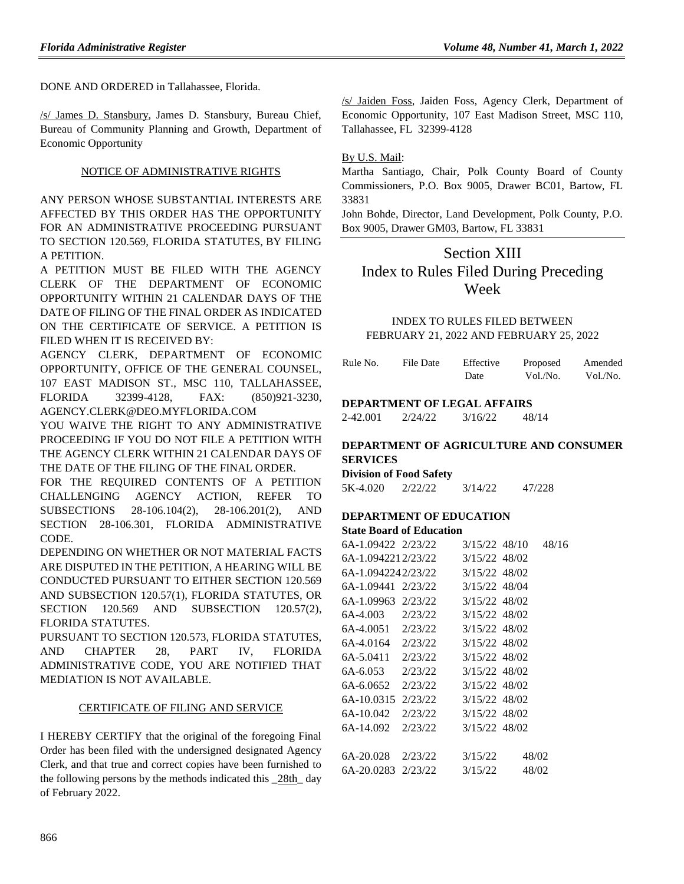DONE AND ORDERED in Tallahassee, Florida.

/s/ James D. Stansbury, James D. Stansbury, Bureau Chief, Bureau of Community Planning and Growth, Department of Economic Opportunity

## NOTICE OF ADMINISTRATIVE RIGHTS

ANY PERSON WHOSE SUBSTANTIAL INTERESTS ARE AFFECTED BY THIS ORDER HAS THE OPPORTUNITY FOR AN ADMINISTRATIVE PROCEEDING PURSUANT TO SECTION 120.569, FLORIDA STATUTES, BY FILING A PETITION.

A PETITION MUST BE FILED WITH THE AGENCY CLERK OF THE DEPARTMENT OF ECONOMIC OPPORTUNITY WITHIN 21 CALENDAR DAYS OF THE DATE OF FILING OF THE FINAL ORDER AS INDICATED ON THE CERTIFICATE OF SERVICE. A PETITION IS FILED WHEN IT IS RECEIVED BY:

AGENCY CLERK, DEPARTMENT OF ECONOMIC OPPORTUNITY, OFFICE OF THE GENERAL COUNSEL, 107 EAST MADISON ST., MSC 110, TALLAHASSEE, FLORIDA 32399-4128, FAX: (850)921-3230, AGENCY.CLERK@DEO.MYFLORIDA.COM

YOU WAIVE THE RIGHT TO ANY ADMINISTRATIVE PROCEEDING IF YOU DO NOT FILE A PETITION WITH THE AGENCY CLERK WITHIN 21 CALENDAR DAYS OF THE DATE OF THE FILING OF THE FINAL ORDER.

FOR THE REQUIRED CONTENTS OF A PETITION CHALLENGING AGENCY ACTION, REFER TO SUBSECTIONS 28-106.104(2), 28-106.201(2), AND SECTION 28-106.301, FLORIDA ADMINISTRATIVE CODE.

DEPENDING ON WHETHER OR NOT MATERIAL FACTS ARE DISPUTED IN THE PETITION, A HEARING WILL BE CONDUCTED PURSUANT TO EITHER SECTION 120.569 AND SUBSECTION 120.57(1), FLORIDA STATUTES, OR SECTION 120.569 AND SUBSECTION 120.57(2), FLORIDA STATUTES.

PURSUANT TO SECTION 120.573, FLORIDA STATUTES, AND CHAPTER 28, PART IV, FLORIDA ADMINISTRATIVE CODE, YOU ARE NOTIFIED THAT MEDIATION IS NOT AVAILABLE.

#### CERTIFICATE OF FILING AND SERVICE

I HEREBY CERTIFY that the original of the foregoing Final Order has been filed with the undersigned designated Agency Clerk, and that true and correct copies have been furnished to the following persons by the methods indicated this  $\frac{28\text{th}}{4}$  day of February 2022.

/s/ Jaiden Foss, Jaiden Foss, Agency Clerk, Department of Economic Opportunity, 107 East Madison Street, MSC 110, Tallahassee, FL 32399-4128

By U.S. Mail:

Martha Santiago, Chair, Polk County Board of County Commissioners, P.O. Box 9005, Drawer BC01, Bartow, FL 33831

John Bohde, Director, Land Development, Polk County, P.O. Box 9005, Drawer GM03, Bartow, FL 33831

# Section XIII Index to Rules Filed During Preceding Week

### INDEX TO RULES FILED BETWEEN FEBRUARY 21, 2022 AND FEBRUARY 25, 2022

| Rule No. | File Date | Effective | Proposed | Amended  |
|----------|-----------|-----------|----------|----------|
|          |           | Date      | Vol./No. | Vol./No. |

#### **DEPARTMENT OF LEGAL AFFAIRS**

2-42.001 2/24/22 3/16/22 48/14

### **DEPARTMENT OF AGRICULTURE AND CONSUMER SERVICES**

**Division of Food Safety**

5K-4.020 2/22/22 3/14/22 47/228

#### **DEPARTMENT OF EDUCATION State Board of Education**

| 6A-1.09422 2/23/22 |         | 3/15/22 48/10 | 48/16 |
|--------------------|---------|---------------|-------|
| 6A-1.0942212/23/22 |         | 3/15/22 48/02 |       |
| 6A-1.0942242/23/22 |         | 3/15/22 48/02 |       |
| 6A-1.09441 2/23/22 |         | 3/15/22 48/04 |       |
| 6A-1.09963 2/23/22 |         | 3/15/22 48/02 |       |
| 6A-4.003 2/23/22   |         | 3/15/22 48/02 |       |
| 6A-4.0051 2/23/22  |         | 3/15/22 48/02 |       |
| 6A-4.0164          | 2/23/22 | 3/15/22 48/02 |       |
| 6A-5.0411          | 2/23/22 | 3/15/22 48/02 |       |
| 6A-6.053           | 2/23/22 | 3/15/22 48/02 |       |
| 6A-6.0652          | 2/23/22 | 3/15/22 48/02 |       |
| 6A-10.0315         | 2/23/22 | 3/15/22 48/02 |       |
| 6A-10.042          | 2/23/22 | 3/15/22 48/02 |       |
| 6A-14.092          | 2/23/22 | 3/15/22 48/02 |       |
|                    |         |               |       |
| 6A-20.028          | 2/23/22 | 3/15/22       | 48/02 |
| 6A-20.0283         | 2/23/22 | 3/15/22       | 48/02 |
|                    |         |               |       |